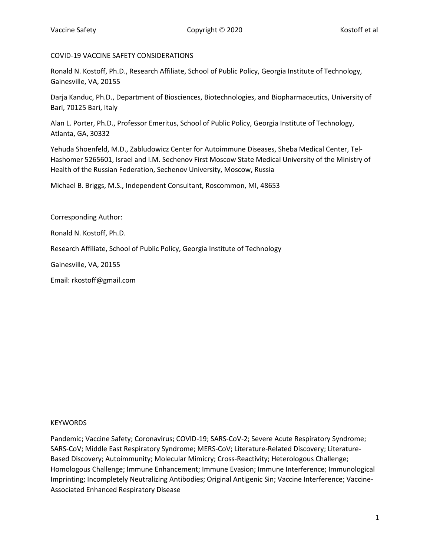### <span id="page-0-0"></span>COVID-19 VACCINE SAFETY CONSIDERATIONS

Ronald N. Kostoff, Ph.D., Research Affiliate, School of Public Policy, Georgia Institute of Technology, Gainesville, VA, 20155

Darja Kanduc, Ph.D., Department of Biosciences, Biotechnologies, and Biopharmaceutics, University of Bari, 70125 Bari, Italy

Alan L. Porter, Ph.D., Professor Emeritus, School of Public Policy, Georgia Institute of Technology, Atlanta, GA, 30332

Yehuda Shoenfeld, M.D., Zabludowicz Center for Autoimmune Diseases, Sheba Medical Center, Tel-Hashomer 5265601, Israel and I.M. Sechenov First Moscow State Medical University of the Ministry of Health of the Russian Federation, Sechenov University, Moscow, Russia

Michael B. Briggs, M.S., Independent Consultant, Roscommon, MI, 48653

Corresponding Author:

Ronald N. Kostoff, Ph.D.

Research Affiliate, School of Public Policy, Georgia Institute of Technology

Gainesville, VA, 20155

Email: rkostoff@gmail.com

#### <span id="page-0-1"></span>**KEYWORDS**

Pandemic; Vaccine Safety; Coronavirus; COVID-19; SARS-CoV-2; Severe Acute Respiratory Syndrome; SARS-CoV; Middle East Respiratory Syndrome; MERS-CoV; Literature-Related Discovery; Literature-Based Discovery; Autoimmunity; Molecular Mimicry; Cross-Reactivity; Heterologous Challenge; Homologous Challenge; Immune Enhancement; Immune Evasion; Immune Interference; Immunological Imprinting; Incompletely Neutralizing Antibodies; Original Antigenic Sin; Vaccine Interference; Vaccine-Associated Enhanced Respiratory Disease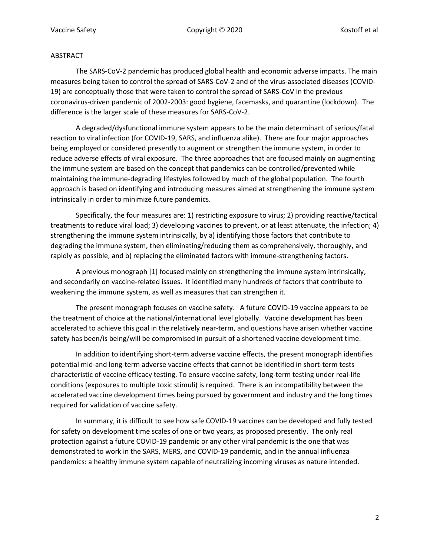#### <span id="page-1-0"></span>**ABSTRACT**

The SARS-CoV-2 pandemic has produced global health and economic adverse impacts. The main measures being taken to control the spread of SARS-CoV-2 and of the virus-associated diseases (COVID-19) are conceptually those that were taken to control the spread of SARS-CoV in the previous coronavirus-driven pandemic of 2002-2003: good hygiene, facemasks, and quarantine (lockdown). The difference is the larger scale of these measures for SARS-CoV-2.

A degraded/dysfunctional immune system appears to be the main determinant of serious/fatal reaction to viral infection (for COVID-19, SARS, and influenza alike). There are four major approaches being employed or considered presently to augment or strengthen the immune system, in order to reduce adverse effects of viral exposure. The three approaches that are focused mainly on augmenting the immune system are based on the concept that pandemics can be controlled/prevented while maintaining the immune-degrading lifestyles followed by much of the global population. The fourth approach is based on identifying and introducing measures aimed at strengthening the immune system intrinsically in order to minimize future pandemics.

Specifically, the four measures are: 1) restricting exposure to virus; 2) providing reactive/tactical treatments to reduce viral load; 3) developing vaccines to prevent, or at least attenuate, the infection; 4) strengthening the immune system intrinsically, by a) identifying those factors that contribute to degrading the immune system, then eliminating/reducing them as comprehensively, thoroughly, and rapidly as possible, and b) replacing the eliminated factors with immune-strengthening factors.

A previous monograph [1] focused mainly on strengthening the immune system intrinsically, and secondarily on vaccine-related issues. It identified many hundreds of factors that contribute to weakening the immune system, as well as measures that can strengthen it.

The present monograph focuses on vaccine safety. A future COVID-19 vaccine appears to be the treatment of choice at the national/international level globally. Vaccine development has been accelerated to achieve this goal in the relatively near-term, and questions have arisen whether vaccine safety has been/is being/will be compromised in pursuit of a shortened vaccine development time.

In addition to identifying short-term adverse vaccine effects, the present monograph identifies potential mid-and long-term adverse vaccine effects that cannot be identified in short-term tests characteristic of vaccine efficacy testing. To ensure vaccine safety, long-term testing under real-life conditions (exposures to multiple toxic stimuli) is required. There is an incompatibility between the accelerated vaccine development times being pursued by government and industry and the long times required for validation of vaccine safety.

In summary, it is difficult to see how safe COVID-19 vaccines can be developed and fully tested for safety on development time scales of one or two years, as proposed presently. The only real protection against a future COVID-19 pandemic or any other viral pandemic is the one that was demonstrated to work in the SARS, MERS, and COVID-19 pandemic, and in the annual influenza pandemics: a healthy immune system capable of neutralizing incoming viruses as nature intended.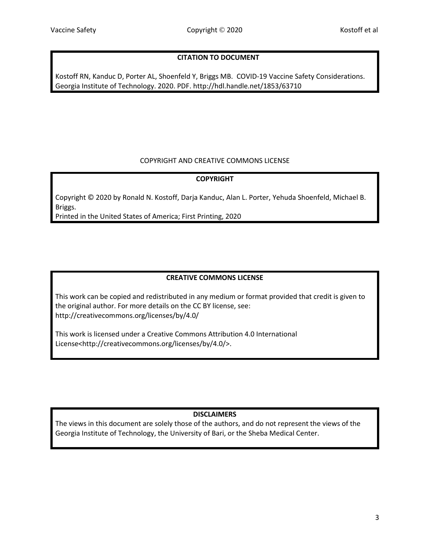# <span id="page-2-0"></span>**CITATION TO DOCUMENT**

Kostoff RN, Kanduc D, Porter AL, Shoenfeld Y, Briggs MB. COVID-19 Vaccine Safety Considerations. Georgia Institute of Technology. 2020. PDF. http://hdl.handle.net/1853/63710

# COPYRIGHT AND CREATIVE COMMONS LICENSE

# **COPYRIGHT**

<span id="page-2-1"></span>Copyright © 2020 by Ronald N. Kostoff, Darja Kanduc, Alan L. Porter, Yehuda Shoenfeld, Michael B. Briggs.

Printed in the United States of America; First Printing, 2020

# **CREATIVE COMMONS LICENSE**

<span id="page-2-2"></span>This work can be copied and redistributed in any medium or format provided that credit is given to the original author. For more details on the CC BY license, see: http://creativecommons.org/licenses/by/4.0/

This work is licensed under a Creative Commons Attribution 4.0 International License<http://creativecommons.org/licenses/by/4.0/>.

# **DISCLAIMERS**

<span id="page-2-3"></span>The views in this document are solely those of the authors, and do not represent the views of the Georgia Institute of Technology, the University of Bari, or the Sheba Medical Center.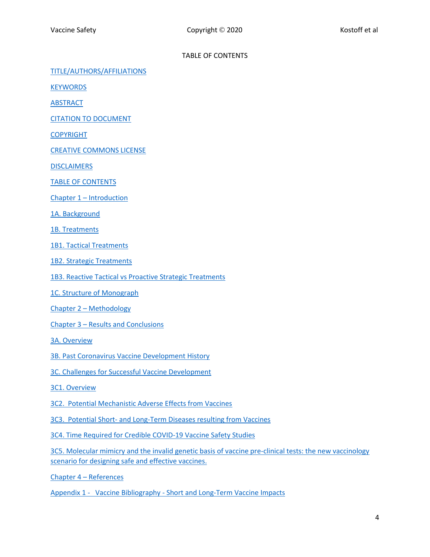### TABLE OF CONTENTS

<span id="page-3-0"></span>[TITLE/AUTHORS/AFFILIATIONS](#page-0-0)

**[KEYWORDS](#page-0-1)** 

**[ABSTRACT](#page-1-0)** 

[CITATION TO DOCUMENT](#page-2-0)

**[COPYRIGHT](#page-2-1)** 

[CREATIVE COMMONS LICENSE](#page-2-2)

**[DISCLAIMERS](#page-2-3)** 

[TABLE OF CONTENTS](#page-3-0)

Chapter 1 – [Introduction](#page-3-1)

[1A. Background](#page-4-0)

[1B. Treatments](#page-4-1)

[1B1. Tactical Treatments](#page-5-0)

[1B2. Strategic Treatments](#page-5-1)

[1B3. Reactive Tactical vs Proactive Strategic Treatments](#page-5-2)

[1C. Structure of Monograph](#page-6-0)

Chapter 2 – [Methodology](#page-7-0)

Chapter 3 – [Results and Conclusions](#page-8-0)

[3A. Overview](#page-8-1)

[3B. Past Coronavirus Vaccine Development History](#page-8-2)

[3C. Challenges for Successful Vaccine Development](#page-9-0)

[3C1. Overview](#page-9-1)

[3C2. Potential Mechanistic Adverse Effects from Vaccines](#page-10-0)

3C3. Potential Short- [and Long-Term Diseases resulting from Vaccines](#page-26-0)

[3C4. Time Required for Credible COVID-19 Vaccine Safety Studies](#page-28-0)

3C5. Molecular mimicry and the invalid genetic basis of vaccine pre-clinical tests: the new vaccinology scenario for designing safe and effective vaccines.

Chapter 4 – [References](#page-30-0)

<span id="page-3-1"></span>Appendix 1 - Vaccine Bibliography - [Short and Long-Term Vaccine Impacts](#page-40-0)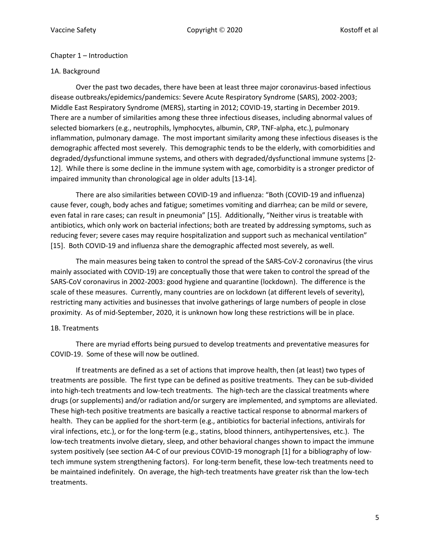#### Chapter 1 – Introduction

### <span id="page-4-0"></span>1A. Background

Over the past two decades, there have been at least three major coronavirus-based infectious disease outbreaks/epidemics/pandemics: Severe Acute Respiratory Syndrome (SARS), 2002-2003; Middle East Respiratory Syndrome (MERS), starting in 2012; COVID-19, starting in December 2019. There are a number of similarities among these three infectious diseases, including abnormal values of selected biomarkers (e.g., neutrophils, lymphocytes, albumin, CRP, TNF-alpha, etc.), pulmonary inflammation, pulmonary damage. The most important similarity among these infectious diseases is the demographic affected most severely. This demographic tends to be the elderly, with comorbidities and degraded/dysfunctional immune systems, and others with degraded/dysfunctional immune systems [2- 12]. While there is some decline in the immune system with age, comorbidity is a stronger predictor of impaired immunity than chronological age in older adults [13-14].

There are also similarities between COVID-19 and influenza: "Both (COVID-19 and influenza) cause fever, cough, body aches and fatigue; sometimes vomiting and diarrhea; can be mild or severe, even fatal in rare cases; can result in pneumonia" [15]. Additionally, "Neither virus is treatable with antibiotics, which only work on bacterial infections; both are treated by addressing symptoms, such as reducing fever; severe cases may require hospitalization and support such as mechanical ventilation" [15]. Both COVID-19 and influenza share the demographic affected most severely, as well.

The main measures being taken to control the spread of the SARS-CoV-2 coronavirus (the virus mainly associated with COVID-19) are conceptually those that were taken to control the spread of the SARS-CoV coronavirus in 2002-2003: good hygiene and quarantine (lockdown). The difference is the scale of these measures. Currently, many countries are on lockdown (at different levels of severity), restricting many activities and businesses that involve gatherings of large numbers of people in close proximity. As of mid-September, 2020, it is unknown how long these restrictions will be in place.

### <span id="page-4-1"></span>1B. Treatments

There are myriad efforts being pursued to develop treatments and preventative measures for COVID-19. Some of these will now be outlined.

If treatments are defined as a set of actions that improve health, then (at least) two types of treatments are possible. The first type can be defined as positive treatments. They can be sub-divided into high-tech treatments and low-tech treatments. The high-tech are the classical treatments where drugs (or supplements) and/or radiation and/or surgery are implemented, and symptoms are alleviated. These high-tech positive treatments are basically a reactive tactical response to abnormal markers of health. They can be applied for the short-term (e.g., antibiotics for bacterial infections, antivirals for viral infections, etc.), or for the long-term (e.g., statins, blood thinners, antihypertensives, etc.). The low-tech treatments involve dietary, sleep, and other behavioral changes shown to impact the immune system positively (see section A4-C of our previous COVID-19 monograph [1] for a bibliography of lowtech immune system strengthening factors). For long-term benefit, these low-tech treatments need to be maintained indefinitely. On average, the high-tech treatments have greater risk than the low-tech treatments.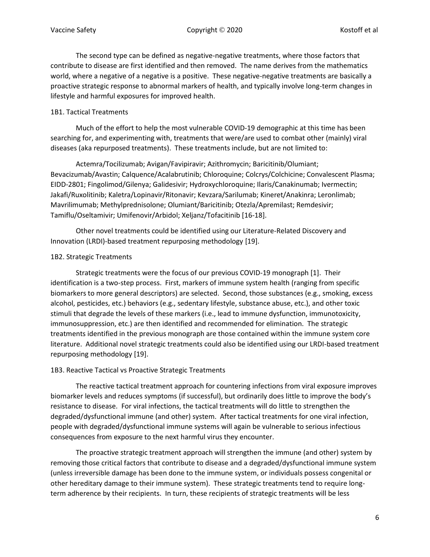The second type can be defined as negative-negative treatments, where those factors that contribute to disease are first identified and then removed. The name derives from the mathematics world, where a negative of a negative is a positive. These negative-negative treatments are basically a proactive strategic response to abnormal markers of health, and typically involve long-term changes in lifestyle and harmful exposures for improved health.

### <span id="page-5-0"></span>1B1. Tactical Treatments

Much of the effort to help the most vulnerable COVID-19 demographic at this time has been searching for, and experimenting with, treatments that were/are used to combat other (mainly) viral diseases (aka repurposed treatments). These treatments include, but are not limited to:

Actemra/Tocilizumab; Avigan/Favipiravir; Azithromycin; Baricitinib/Olumiant; Bevacizumab/Avastin; Calquence/Acalabrutinib; Chloroquine; Colcrys/Colchicine; Convalescent Plasma; EIDD-2801; Fingolimod/Gilenya; Galidesivir; Hydroxychloroquine; Ilaris/Canakinumab; Ivermectin; Jakafi/Ruxolitinib; Kaletra/Lopinavir/Ritonavir; Kevzara/Sarilumab; Kineret/Anakinra; Leronlimab; Mavrilimumab; Methylprednisolone; Olumiant/Baricitinib; Otezla/Apremilast; Remdesivir; Tamiflu/Oseltamivir; Umifenovir/Arbidol; Xeljanz/Tofacitinib [16-18].

Other novel treatments could be identified using our Literature-Related Discovery and Innovation (LRDI)-based treatment repurposing methodology [19].

## <span id="page-5-1"></span>1B2. Strategic Treatments

Strategic treatments were the focus of our previous COVID-19 monograph [1]. Their identification is a two-step process. First, markers of immune system health (ranging from specific biomarkers to more general descriptors) are selected. Second, those substances (e.g., smoking, excess alcohol, pesticides, etc.) behaviors (e.g., sedentary lifestyle, substance abuse, etc.), and other toxic stimuli that degrade the levels of these markers (i.e., lead to immune dysfunction, immunotoxicity, immunosuppression, etc.) are then identified and recommended for elimination. The strategic treatments identified in the previous monograph are those contained within the immune system core literature. Additional novel strategic treatments could also be identified using our LRDI-based treatment repurposing methodology [19].

### <span id="page-5-2"></span>1B3. Reactive Tactical vs Proactive Strategic Treatments

The reactive tactical treatment approach for countering infections from viral exposure improves biomarker levels and reduces symptoms (if successful), but ordinarily does little to improve the body's resistance to disease. For viral infections, the tactical treatments will do little to strengthen the degraded/dysfunctional immune (and other) system. After tactical treatments for one viral infection, people with degraded/dysfunctional immune systems will again be vulnerable to serious infectious consequences from exposure to the next harmful virus they encounter.

The proactive strategic treatment approach will strengthen the immune (and other) system by removing those critical factors that contribute to disease and a degraded/dysfunctional immune system (unless irreversible damage has been done to the immune system, or individuals possess congenital or other hereditary damage to their immune system). These strategic treatments tend to require longterm adherence by their recipients. In turn, these recipients of strategic treatments will be less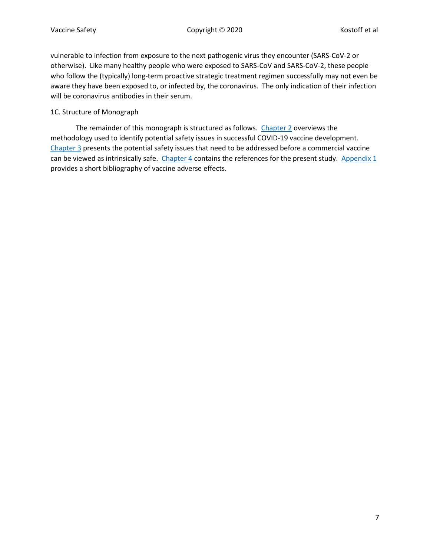vulnerable to infection from exposure to the next pathogenic virus they encounter (SARS-CoV-2 or otherwise). Like many healthy people who were exposed to SARS-CoV and SARS-CoV-2, these people who follow the (typically) long-term proactive strategic treatment regimen successfully may not even be aware they have been exposed to, or infected by, the coronavirus. The only indication of their infection will be coronavirus antibodies in their serum.

## <span id="page-6-0"></span>1C. Structure of Monograph

The remainder of this monograph is structured as follows. [Chapter 2](#page-7-0) overviews the methodology used to identify potential safety issues in successful COVID-19 vaccine development. [Chapter 3](#page-8-0) presents the potential safety issues that need to be addressed before a commercial vaccine can be viewed as intrinsically safe. [Chapter 4](#page-30-0) contains the references for the present study. Appendix  $1$ provides a short bibliography of vaccine adverse effects.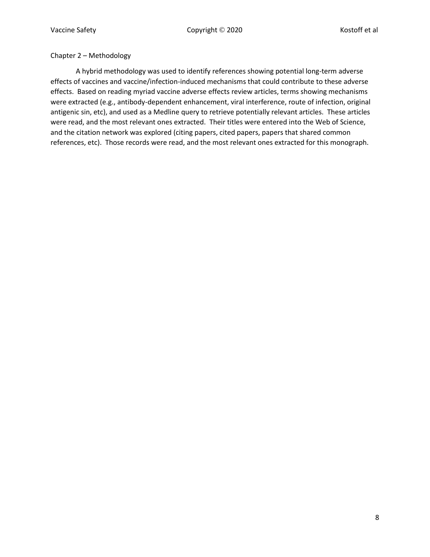### <span id="page-7-0"></span>Chapter 2 – Methodology

A hybrid methodology was used to identify references showing potential long-term adverse effects of vaccines and vaccine/infection-induced mechanisms that could contribute to these adverse effects. Based on reading myriad vaccine adverse effects review articles, terms showing mechanisms were extracted (e.g., antibody-dependent enhancement, viral interference, route of infection, original antigenic sin, etc), and used as a Medline query to retrieve potentially relevant articles. These articles were read, and the most relevant ones extracted. Their titles were entered into the Web of Science, and the citation network was explored (citing papers, cited papers, papers that shared common references, etc). Those records were read, and the most relevant ones extracted for this monograph.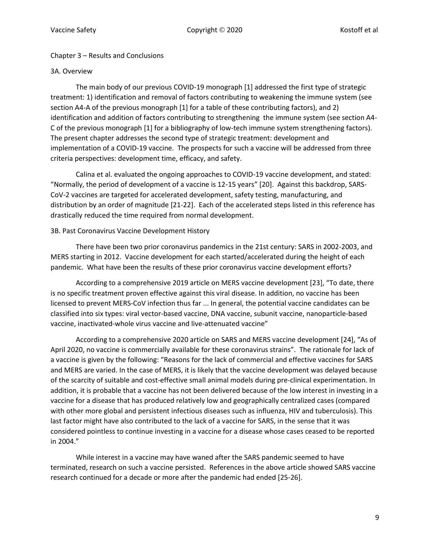### <span id="page-8-0"></span>Chapter 3 – Results and Conclusions

#### <span id="page-8-1"></span>3A. Overview

The main body of our previous COVID-19 monograph [1] addressed the first type of strategic treatment: 1) identification and removal of factors contributing to weakening the immune system (see section A4-A of the previous monograph [1] for a table of these contributing factors), and 2) identification and addition of factors contributing to strengthening the immune system (see section A4- C of the previous monograph [1] for a bibliography of low-tech immune system strengthening factors). The present chapter addresses the second type of strategic treatment: development and implementation of a COVID-19 vaccine. The prospects for such a vaccine will be addressed from three criteria perspectives: development time, efficacy, and safety.

Calina et al. evaluated the ongoing approaches to COVID-19 vaccine development, and stated: "Normally, the period of development of a vaccine is 12‑15 years" [20]. Against this backdrop, SARS-CoV-2 vaccines are targeted for accelerated development, safety testing, manufacturing, and distribution by an order of magnitude [21-22]. Each of the accelerated steps listed in this reference has drastically reduced the time required from normal development.

### <span id="page-8-2"></span>3B. Past Coronavirus Vaccine Development History

There have been two prior coronavirus pandemics in the 21st century: SARS in 2002-2003, and MERS starting in 2012. Vaccine development for each started/accelerated during the height of each pandemic. What have been the results of these prior coronavirus vaccine development efforts?

According to a comprehensive 2019 article on MERS vaccine development [23], "To date, there is no specific treatment proven effective against this viral disease. In addition, no vaccine has been licensed to prevent MERS-CoV infection thus far ... In general, the potential vaccine candidates can be classified into six types: viral vector-based vaccine, DNA vaccine, subunit vaccine, nanoparticle-based vaccine, inactivated-whole virus vaccine and live-attenuated vaccine"

According to a comprehensive 2020 article on SARS and MERS vaccine development [24], "As of April 2020, no vaccine is commercially available for these coronavirus strains". The rationale for lack of a vaccine is given by the following: "Reasons for the lack of commercial and effective vaccines for SARS and MERS are varied. In the case of MERS, it is likely that the vaccine development was delayed because of the scarcity of suitable and cost-effective small animal models during pre-clinical experimentation. In addition, it is probable that a vaccine has not been delivered because of the low interest in investing in a vaccine for a disease that has produced relatively low and geographically centralized cases (compared with other more global and persistent infectious diseases such as influenza, HIV and tuberculosis). This last factor might have also contributed to the lack of a vaccine for SARS, in the sense that it was considered pointless to continue investing in a vaccine for a disease whose cases ceased to be reported in 2004."

While interest in a vaccine may have waned after the SARS pandemic seemed to have terminated, research on such a vaccine persisted. References in the above article showed SARS vaccine research continued for a decade or more after the pandemic had ended [25-26].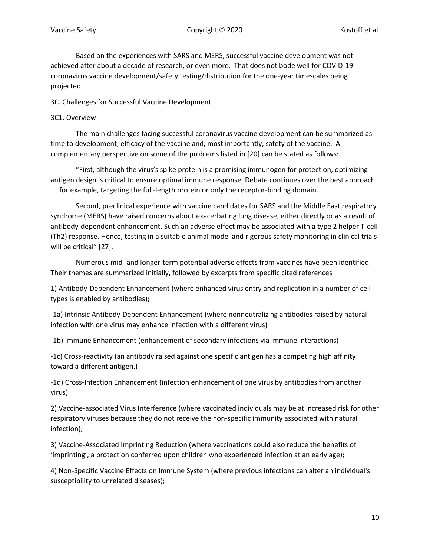Based on the experiences with SARS and MERS, successful vaccine development was not achieved after about a decade of research, or even more. That does not bode well for COVID-19 coronavirus vaccine development/safety testing/distribution for the one-year timescales being projected.

<span id="page-9-0"></span>3C. Challenges for Successful Vaccine Development

#### <span id="page-9-1"></span>3C1. Overview

The main challenges facing successful coronavirus vaccine development can be summarized as time to development, efficacy of the vaccine and, most importantly, safety of the vaccine. A complementary perspective on some of the problems listed in [20] can be stated as follows:

"First, although the virus's spike protein is a promising immunogen for protection, optimizing antigen design is critical to ensure optimal immune response. Debate continues over the best approach — for example, targeting the full-length protein or only the receptor-binding domain.

Second, preclinical experience with vaccine candidates for SARS and the Middle East respiratory syndrome (MERS) have raised concerns about exacerbating lung disease, either directly or as a result of antibody-dependent enhancement. Such an adverse effect may be associated with a type 2 helper T-cell (Th2) response. Hence, testing in a suitable animal model and rigorous safety monitoring in clinical trials will be critical" [27].

Numerous mid- and longer-term potential adverse effects from vaccines have been identified. Their themes are summarized initially, followed by excerpts from specific cited references

1) Antibody-Dependent Enhancement (where enhanced virus entry and replication in a number of cell types is enabled by antibodies);

-1a) Intrinsic Antibody-Dependent Enhancement (where nonneutralizing antibodies raised by natural infection with one virus may enhance infection with a different virus)

-1b) Immune Enhancement (enhancement of secondary infections via immune interactions)

-1c) Cross-reactivity (an antibody raised against one specific antigen has a competing high affinity toward a different antigen.)

-1d) Cross-Infection Enhancement (infection enhancement of one virus by antibodies from another virus)

2) Vaccine-associated Virus Interference (where vaccinated individuals may be at increased risk for other respiratory viruses because they do not receive the non-specific immunity associated with natural infection);

3) Vaccine-Associated Imprinting Reduction (where vaccinations could also reduce the benefits of 'imprinting', a protection conferred upon children who experienced infection at an early age);

4) Non-Specific Vaccine Effects on Immune System (where previous infections can alter an individual's susceptibility to unrelated diseases);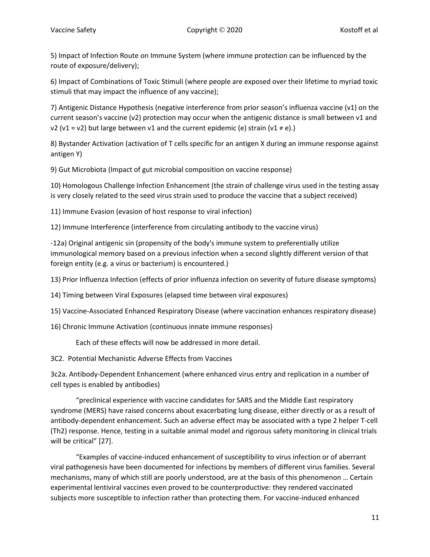5) Impact of Infection Route on Immune System (where immune protection can be influenced by the route of exposure/delivery);

6) Impact of Combinations of Toxic Stimuli (where people are exposed over their lifetime to myriad toxic stimuli that may impact the influence of any vaccine);

7) Antigenic Distance Hypothesis (negative interference from prior season's influenza vaccine (v1) on the current season's vaccine (v2) protection may occur when the antigenic distance is small between v1 and v2 (v1 ≈ v2) but large between v1 and the current epidemic (e) strain (v1 ≠ e).)

8) Bystander Activation (activation of T cells specific for an antigen X during an immune response against antigen Y)

9) Gut Microbiota (Impact of gut microbial composition on vaccine response)

10) Homologous Challenge Infection Enhancement (the strain of challenge virus used in the testing assay is very closely related to the seed virus strain used to produce the vaccine that a subject received)

11) Immune Evasion (evasion of host response to viral infection)

12) Immune Interference (interference from circulating antibody to the vaccine virus)

-12a) Original antigenic sin (propensity of the body's immune system to preferentially utilize immunological memory based on a previous infection when a second slightly different version of that foreign entity (e.g. a virus or bacterium) is encountered.)

13) Prior Influenza Infection (effects of prior influenza infection on severity of future disease symptoms)

14) Timing between Viral Exposures (elapsed time between viral exposures)

15) Vaccine-Associated Enhanced Respiratory Disease (where vaccination enhances respiratory disease)

16) Chronic Immune Activation (continuous innate immune responses)

Each of these effects will now be addressed in more detail.

<span id="page-10-0"></span>3C2. Potential Mechanistic Adverse Effects from Vaccines

3c2a. Antibody-Dependent Enhancement (where enhanced virus entry and replication in a number of cell types is enabled by antibodies)

"preclinical experience with vaccine candidates for SARS and the Middle East respiratory syndrome (MERS) have raised concerns about exacerbating lung disease, either directly or as a result of antibody-dependent enhancement. Such an adverse effect may be associated with a type 2 helper T-cell (Th2) response. Hence, testing in a suitable animal model and rigorous safety monitoring in clinical trials will be critical" [27].

"Examples of vaccine-induced enhancement of susceptibility to virus infection or of aberrant viral pathogenesis have been documented for infections by members of different virus families. Several mechanisms, many of which still are poorly understood, are at the basis of this phenomenon … Certain experimental lentiviral vaccines even proved to be counterproductive: they rendered vaccinated subjects more susceptible to infection rather than protecting them. For vaccine-induced enhanced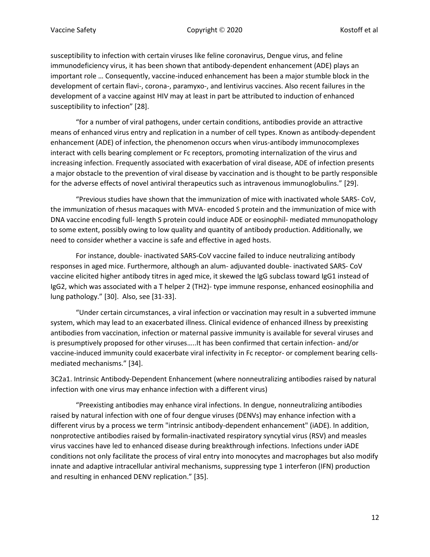susceptibility to infection with certain viruses like feline coronavirus, Dengue virus, and feline immunodeficiency virus, it has been shown that antibody-dependent enhancement (ADE) plays an important role … Consequently, vaccine-induced enhancement has been a major stumble block in the development of certain flavi-, corona-, paramyxo-, and lentivirus vaccines. Also recent failures in the development of a vaccine against HIV may at least in part be attributed to induction of enhanced susceptibility to infection" [28].

"for a number of viral pathogens, under certain conditions, antibodies provide an attractive means of enhanced virus entry and replication in a number of cell types. Known as antibody-dependent enhancement (ADE) of infection, the phenomenon occurs when virus-antibody immunocomplexes interact with cells bearing complement or Fc receptors, promoting internalization of the virus and increasing infection. Frequently associated with exacerbation of viral disease, ADE of infection presents a major obstacle to the prevention of viral disease by vaccination and is thought to be partly responsible for the adverse effects of novel antiviral therapeutics such as intravenous immunoglobulins." [29].

"Previous studies have shown that the immunization of mice with inactivated whole SARS- CoV, the immunization of rhesus macaques with MVA- encoded S protein and the immunization of mice with DNA vaccine encoding full- length S protein could induce ADE or eosinophil- mediated mmunopathology to some extent, possibly owing to low quality and quantity of antibody production. Additionally, we need to consider whether a vaccine is safe and effective in aged hosts.

For instance, double- inactivated SARS-CoV vaccine failed to induce neutralizing antibody responses in aged mice. Furthermore, although an alum- adjuvanted double- inactivated SARS- CoV vaccine elicited higher antibody titres in aged mice, it skewed the IgG subclass toward IgG1 instead of IgG2, which was associated with a T helper 2 (TH2)- type immune response, enhanced eosinophilia and lung pathology." [30]. Also, see [31-33].

"Under certain circumstances, a viral infection or vaccination may result in a subverted immune system, which may lead to an exacerbated illness. Clinical evidence of enhanced illness by preexisting antibodies from vaccination, infection or maternal passive immunity is available for several viruses and is presumptively proposed for other viruses…..It has been confirmed that certain infection- and/or vaccine-induced immunity could exacerbate viral infectivity in Fc receptor- or complement bearing cellsmediated mechanisms." [34].

3C2a1. Intrinsic Antibody-Dependent Enhancement (where nonneutralizing antibodies raised by natural infection with one virus may enhance infection with a different virus)

"Preexisting antibodies may enhance viral infections. In dengue, nonneutralizing antibodies raised by natural infection with one of four dengue viruses (DENVs) may enhance infection with a different virus by a process we term "intrinsic antibody-dependent enhancement" (iADE). In addition, nonprotective antibodies raised by formalin-inactivated respiratory syncytial virus (RSV) and measles virus vaccines have led to enhanced disease during breakthrough infections. Infections under iADE conditions not only facilitate the process of viral entry into monocytes and macrophages but also modify innate and adaptive intracellular antiviral mechanisms, suppressing type 1 interferon (IFN) production and resulting in enhanced DENV replication." [35].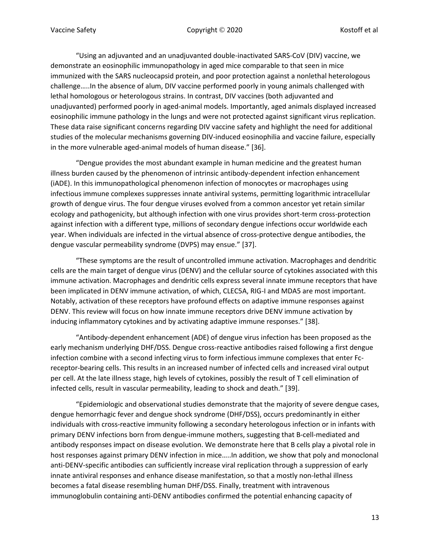"Using an adjuvanted and an unadjuvanted double-inactivated SARS-CoV (DIV) vaccine, we demonstrate an eosinophilic immunopathology in aged mice comparable to that seen in mice immunized with the SARS nucleocapsid protein, and poor protection against a nonlethal heterologous challenge…..In the absence of alum, DIV vaccine performed poorly in young animals challenged with lethal homologous or heterologous strains. In contrast, DIV vaccines (both adjuvanted and unadjuvanted) performed poorly in aged-animal models. Importantly, aged animals displayed increased eosinophilic immune pathology in the lungs and were not protected against significant virus replication. These data raise significant concerns regarding DIV vaccine safety and highlight the need for additional studies of the molecular mechanisms governing DIV-induced eosinophilia and vaccine failure, especially in the more vulnerable aged-animal models of human disease." [36].

"Dengue provides the most abundant example in human medicine and the greatest human illness burden caused by the phenomenon of intrinsic antibody-dependent infection enhancement (iADE). In this immunopathological phenomenon infection of monocytes or macrophages using infectious immune complexes suppresses innate antiviral systems, permitting logarithmic intracellular growth of dengue virus. The four dengue viruses evolved from a common ancestor yet retain similar ecology and pathogenicity, but although infection with one virus provides short-term cross-protection against infection with a different type, millions of secondary dengue infections occur worldwide each year. When individuals are infected in the virtual absence of cross-protective dengue antibodies, the dengue vascular permeability syndrome (DVPS) may ensue." [37].

"These symptoms are the result of uncontrolled immune activation. Macrophages and dendritic cells are the main target of dengue virus (DENV) and the cellular source of cytokines associated with this immune activation. Macrophages and dendritic cells express several innate immune receptors that have been implicated in DENV immune activation, of which, CLEC5A, RIG-I and MDA5 are most important. Notably, activation of these receptors have profound effects on adaptive immune responses against DENV. This review will focus on how innate immune receptors drive DENV immune activation by inducing inflammatory cytokines and by activating adaptive immune responses." [38].

"Antibody-dependent enhancement (ADE) of dengue virus infection has been proposed as the early mechanism underlying DHF/DSS. Dengue cross-reactive antibodies raised following a first dengue infection combine with a second infecting virus to form infectious immune complexes that enter Fcreceptor-bearing cells. This results in an increased number of infected cells and increased viral output per cell. At the late illness stage, high levels of cytokines, possibly the result of T cell elimination of infected cells, result in vascular permeability, leading to shock and death." [39].

"Epidemiologic and observational studies demonstrate that the majority of severe dengue cases, dengue hemorrhagic fever and dengue shock syndrome (DHF/DSS), occurs predominantly in either individuals with cross-reactive immunity following a secondary heterologous infection or in infants with primary DENV infections born from dengue-immune mothers, suggesting that B-cell-mediated and antibody responses impact on disease evolution. We demonstrate here that B cells play a pivotal role in host responses against primary DENV infection in mice…..In addition, we show that poly and monoclonal anti-DENV-specific antibodies can sufficiently increase viral replication through a suppression of early innate antiviral responses and enhance disease manifestation, so that a mostly non-lethal illness becomes a fatal disease resembling human DHF/DSS. Finally, treatment with intravenous immunoglobulin containing anti-DENV antibodies confirmed the potential enhancing capacity of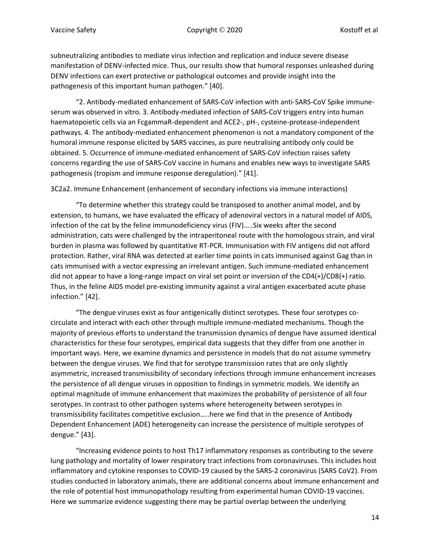subneutralizing antibodies to mediate virus infection and replication and induce severe disease manifestation of DENV-infected mice. Thus, our results show that humoral responses unleashed during DENV infections can exert protective or pathological outcomes and provide insight into the pathogenesis of this important human pathogen." [40].

"2. Antibody-mediated enhancement of SARS-CoV infection with anti-SARS-CoV Spike immuneserum was observed in vitro. 3. Antibody-mediated infection of SARS-CoV triggers entry into human haematopoietic cells via an FcgammaR-dependent and ACE2-, pH-, cysteine-protease-independent pathways. 4. The antibody-mediated enhancement phenomenon is not a mandatory component of the humoral immune response elicited by SARS vaccines, as pure neutralising antibody only could be obtained. 5. Occurrence of immune-mediated enhancement of SARS-CoV infection raises safety concerns regarding the use of SARS-CoV vaccine in humans and enables new ways to investigate SARS pathogenesis (tropism and immune response deregulation)." [41].

3C2a2. Immune Enhancement (enhancement of secondary infections via immune interactions)

"To determine whether this strategy could be transposed to another animal model, and by extension, to humans, we have evaluated the efficacy of adenoviral vectors in a natural model of AIDS, infection of the cat by the feline immunodeficiency virus (FIV)…..Six weeks after the second administration, cats were challenged by the intraperitoneal route with the homologous strain, and viral burden in plasma was followed by quantitative RT-PCR. Immunisation with FIV antigens did not afford protection. Rather, viral RNA was detected at earlier time points in cats immunised against Gag than in cats immunised with a vector expressing an irrelevant antigen. Such immune-mediated enhancement did not appear to have a long-range impact on viral set point or inversion of the CD4(+)/CD8(+) ratio. Thus, in the feline AIDS model pre-existing immunity against a viral antigen exacerbated acute phase infection." [42].

"The dengue viruses exist as four antigenically distinct serotypes. These four serotypes cocirculate and interact with each other through multiple immune-mediated mechanisms. Though the majority of previous efforts to understand the transmission dynamics of dengue have assumed identical characteristics for these four serotypes, empirical data suggests that they differ from one another in important ways. Here, we examine dynamics and persistence in models that do not assume symmetry between the dengue viruses. We find that for serotype transmission rates that are only slightly asymmetric, increased transmissibility of secondary infections through immune enhancement increases the persistence of all dengue viruses in opposition to findings in symmetric models. We identify an optimal magnitude of immune enhancement that maximizes the probability of persistence of all four serotypes. In contrast to other pathogen systems where heterogeneity between serotypes in transmissibility facilitates competitive exclusion…..here we find that in the presence of Antibody Dependent Enhancement (ADE) heterogeneity can increase the persistence of multiple serotypes of dengue." [43].

"Increasing evidence points to host Th17 inflammatory responses as contributing to the severe lung pathology and mortality of lower respiratory tract infections from coronaviruses. This includes host inflammatory and cytokine responses to COVID-19 caused by the SARS-2 coronavirus (SARS CoV2). From studies conducted in laboratory animals, there are additional concerns about immune enhancement and the role of potential host immunopathology resulting from experimental human COVID-19 vaccines. Here we summarize evidence suggesting there may be partial overlap between the underlying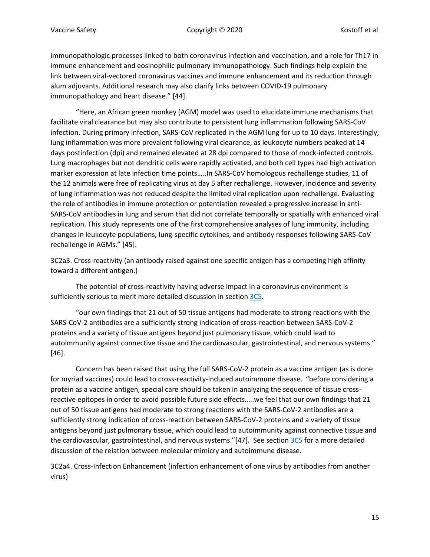immunopathologic processes linked to both coronavirus infection and vaccination, and a role for Th17 in immune enhancement and eosinophilic pulmonary immunopathology. Such findings help explain the link between viral-vectored coronavirus vaccines and immune enhancement and its reduction through alum adjuvants. Additional research may also clarify links between COVID-19 pulmonary immunopathology and heart disease." [44].

"Here, an African green monkey (AGM) model was used to elucidate immune mechanisms that facilitate viral clearance but may also contribute to persistent lung inflammation following SARS-CoV infection. During primary infection, SARS-CoV replicated in the AGM lung for up to 10 days. Interestingly, lung inflammation was more prevalent following viral clearance, as leukocyte numbers peaked at 14 days postinfection (dpi) and remained elevated at 28 dpi compared to those of mock-infected controls. Lung macrophages but not dendritic cells were rapidly activated, and both cell types had high activation marker expression at late infection time points…..In SARS-CoV homologous rechallenge studies, 11 of the 12 animals were free of replicating virus at day 5 after rechallenge. However, incidence and severity of lung inflammation was not reduced despite the limited viral replication upon rechallenge. Evaluating the role of antibodies in immune protection or potentiation revealed a progressive increase in anti-SARS-CoV antibodies in lung and serum that did not correlate temporally or spatially with enhanced viral replication. This study represents one of the first comprehensive analyses of lung immunity, including changes in leukocyte populations, lung-specific cytokines, and antibody responses following SARS-CoV rechallenge in AGMs." [45].

3C2a3. Cross-reactivity (an antibody raised against one specific antigen has a competing high affinity toward a different antigen.)

The potential of cross-reactivity having adverse impact in a coronavirus environment is sufficiently serious to merit more detailed discussion in section 3C5.

"our own findings that 21 out of 50 tissue antigens had moderate to strong reactions with the SARS-CoV-2 antibodies are a sufficiently strong indication of cross-reaction between SARS-CoV-2 proteins and a variety of tissue antigens beyond just pulmonary tissue, which could lead to autoimmunity against connective tissue and the cardiovascular, gastrointestinal, and nervous systems." [46].

Concern has been raised that using the full SARS-CoV-2 protein as a vaccine antigen (as is done for myriad vaccines) could lead to cross-reactivity-induced autoimmune disease. "before considering a protein as a vaccine antigen, special care should be taken in analyzing the sequence of tissue crossreactive epitopes in order to avoid possible future side effects…..we feel that our own findings that 21 out of 50 tissue antigens had moderate to strong reactions with the SARS-CoV-2 antibodies are a sufficiently strong indication of cross-reaction between SARS-CoV-2 proteins and a variety of tissue antigens beyond just pulmonary tissue, which could lead to autoimmunity against connective tissue and the cardiovascular, gastrointestinal, and nervous systems."[47]. See section 3C5 for a more detailed discussion of the relation between molecular mimicry and autoimmune disease.

3C2a4. Cross-Infection Enhancement (infection enhancement of one virus by antibodies from another virus)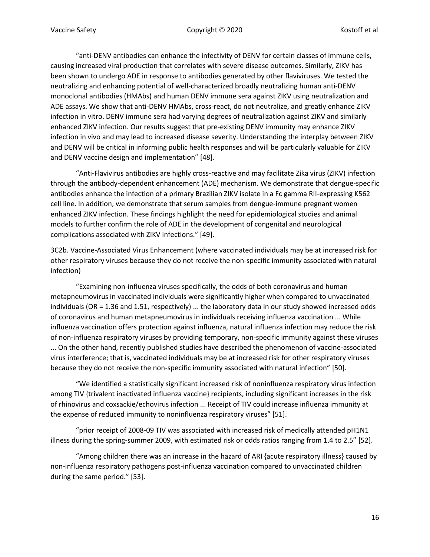"anti-DENV antibodies can enhance the infectivity of DENV for certain classes of immune cells, causing increased viral production that correlates with severe disease outcomes. Similarly, ZIKV has been shown to undergo ADE in response to antibodies generated by other flaviviruses. We tested the neutralizing and enhancing potential of well-characterized broadly neutralizing human anti-DENV monoclonal antibodies (HMAbs) and human DENV immune sera against ZIKV using neutralization and ADE assays. We show that anti-DENV HMAbs, cross-react, do not neutralize, and greatly enhance ZIKV infection in vitro. DENV immune sera had varying degrees of neutralization against ZIKV and similarly enhanced ZIKV infection. Our results suggest that pre-existing DENV immunity may enhance ZIKV infection in vivo and may lead to increased disease severity. Understanding the interplay between ZIKV and DENV will be critical in informing public health responses and will be particularly valuable for ZIKV and DENV vaccine design and implementation" [48].

"Anti-Flavivirus antibodies are highly cross-reactive and may facilitate Zika virus (ZIKV) infection through the antibody-dependent enhancement (ADE) mechanism. We demonstrate that dengue-specific antibodies enhance the infection of a primary Brazilian ZIKV isolate in a Fc gamma RII-expressing K562 cell line. In addition, we demonstrate that serum samples from dengue-immune pregnant women enhanced ZIKV infection. These findings highlight the need for epidemiological studies and animal models to further confirm the role of ADE in the development of congenital and neurological complications associated with ZIKV infections." [49].

3C2b. Vaccine-Associated Virus Enhancement (where vaccinated individuals may be at increased risk for other respiratory viruses because they do not receive the non-specific immunity associated with natural infection)

"Examining non-influenza viruses specifically, the odds of both coronavirus and human metapneumovirus in vaccinated individuals were significantly higher when compared to unvaccinated individuals (OR = 1.36 and 1.51, respectively) ... the laboratory data in our study showed increased odds of coronavirus and human metapneumovirus in individuals receiving influenza vaccination ... While influenza vaccination offers protection against influenza, natural influenza infection may reduce the risk of non-influenza respiratory viruses by providing temporary, non-specific immunity against these viruses ... On the other hand, recently published studies have described the phenomenon of vaccine-associated virus interference; that is, vaccinated individuals may be at increased risk for other respiratory viruses because they do not receive the non-specific immunity associated with natural infection" [50].

"We identified a statistically significant increased risk of noninfluenza respiratory virus infection among TIV {trivalent inactivated influenza vaccine} recipients, including significant increases in the risk of rhinovirus and coxsackie/echovirus infection ... Receipt of TIV could increase influenza immunity at the expense of reduced immunity to noninfluenza respiratory viruses" [51].

"prior receipt of 2008-09 TIV was associated with increased risk of medically attended pH1N1 illness during the spring-summer 2009, with estimated risk or odds ratios ranging from 1.4 to 2.5" [52].

"Among children there was an increase in the hazard of ARI {acute respiratory illness} caused by non-influenza respiratory pathogens post-influenza vaccination compared to unvaccinated children during the same period." [53].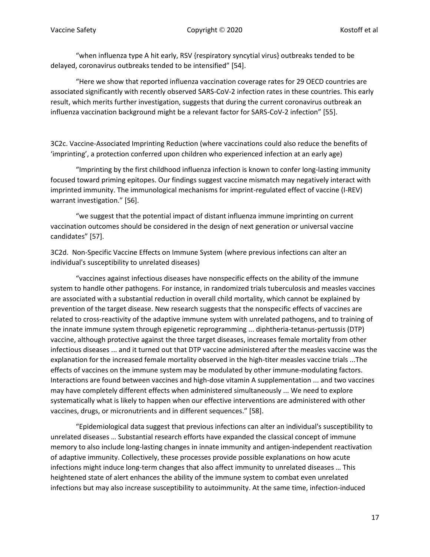"when influenza type A hit early, RSV {respiratory syncytial virus} outbreaks tended to be delayed, coronavirus outbreaks tended to be intensified" [54].

"Here we show that reported influenza vaccination coverage rates for 29 OECD countries are associated significantly with recently observed SARS-CoV-2 infection rates in these countries. This early result, which merits further investigation, suggests that during the current coronavirus outbreak an influenza vaccination background might be a relevant factor for SARS-CoV-2 infection" [55].

3C2c. Vaccine-Associated Imprinting Reduction (where vaccinations could also reduce the benefits of 'imprinting', a protection conferred upon children who experienced infection at an early age)

"Imprinting by the first childhood influenza infection is known to confer long-lasting immunity focused toward priming epitopes. Our findings suggest vaccine mismatch may negatively interact with imprinted immunity. The immunological mechanisms for imprint-regulated effect of vaccine (I-REV) warrant investigation." [56].

"we suggest that the potential impact of distant influenza immune imprinting on current vaccination outcomes should be considered in the design of next generation or universal vaccine candidates" [57].

3C2d. Non-Specific Vaccine Effects on Immune System (where previous infections can alter an individual's susceptibility to unrelated diseases)

"vaccines against infectious diseases have nonspecific effects on the ability of the immune system to handle other pathogens. For instance, in randomized trials tuberculosis and measles vaccines are associated with a substantial reduction in overall child mortality, which cannot be explained by prevention of the target disease. New research suggests that the nonspecific effects of vaccines are related to cross-reactivity of the adaptive immune system with unrelated pathogens, and to training of the innate immune system through epigenetic reprogramming ... diphtheria-tetanus-pertussis (DTP) vaccine, although protective against the three target diseases, increases female mortality from other infectious diseases ... and it turned out that DTP vaccine administered after the measles vaccine was the explanation for the increased female mortality observed in the high-titer measles vaccine trials ...The effects of vaccines on the immune system may be modulated by other immune-modulating factors. Interactions are found between vaccines and high-dose vitamin A supplementation ... and two vaccines may have completely different effects when administered simultaneously ... We need to explore systematically what is likely to happen when our effective interventions are administered with other vaccines, drugs, or micronutrients and in different sequences." [58].

"Epidemiological data suggest that previous infections can alter an individual's susceptibility to unrelated diseases … Substantial research efforts have expanded the classical concept of immune memory to also include long-lasting changes in innate immunity and antigen-independent reactivation of adaptive immunity. Collectively, these processes provide possible explanations on how acute infections might induce long-term changes that also affect immunity to unrelated diseases … This heightened state of alert enhances the ability of the immune system to combat even unrelated infections but may also increase susceptibility to autoimmunity. At the same time, infection-induced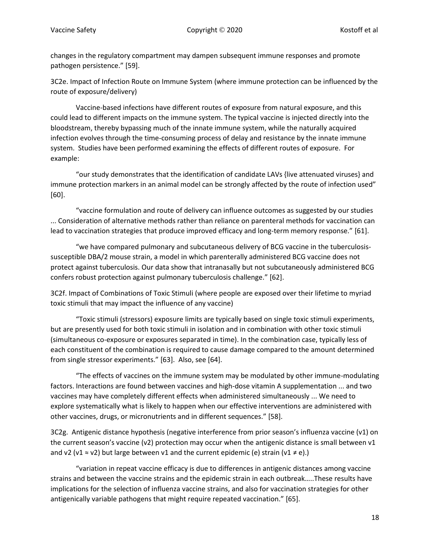changes in the regulatory compartment may dampen subsequent immune responses and promote pathogen persistence." [59].

3C2e. Impact of Infection Route on Immune System (where immune protection can be influenced by the route of exposure/delivery)

Vaccine-based infections have different routes of exposure from natural exposure, and this could lead to different impacts on the immune system. The typical vaccine is injected directly into the bloodstream, thereby bypassing much of the innate immune system, while the naturally acquired infection evolves through the time-consuming process of delay and resistance by the innate immune system. Studies have been performed examining the effects of different routes of exposure. For example:

"our study demonstrates that the identification of candidate LAVs {live attenuated viruses} and immune protection markers in an animal model can be strongly affected by the route of infection used" [60].

"vaccine formulation and route of delivery can influence outcomes as suggested by our studies ... Consideration of alternative methods rather than reliance on parenteral methods for vaccination can lead to vaccination strategies that produce improved efficacy and long-term memory response." [61].

"we have compared pulmonary and subcutaneous delivery of BCG vaccine in the tuberculosissusceptible DBA/2 mouse strain, a model in which parenterally administered BCG vaccine does not protect against tuberculosis. Our data show that intranasally but not subcutaneously administered BCG confers robust protection against pulmonary tuberculosis challenge." [62].

3C2f. Impact of Combinations of Toxic Stimuli (where people are exposed over their lifetime to myriad toxic stimuli that may impact the influence of any vaccine)

"Toxic stimuli (stressors) exposure limits are typically based on single toxic stimuli experiments, but are presently used for both toxic stimuli in isolation and in combination with other toxic stimuli (simultaneous co-exposure or exposures separated in time). In the combination case, typically less of each constituent of the combination is required to cause damage compared to the amount determined from single stressor experiments." [63]. Also, see [64].

"The effects of vaccines on the immune system may be modulated by other immune-modulating factors. Interactions are found between vaccines and high-dose vitamin A supplementation ... and two vaccines may have completely different effects when administered simultaneously ... We need to explore systematically what is likely to happen when our effective interventions are administered with other vaccines, drugs, or micronutrients and in different sequences." [58].

3C2g. Antigenic distance hypothesis (negative interference from prior season's influenza vaccine (v1) on the current season's vaccine (v2) protection may occur when the antigenic distance is small between v1 and v2 (v1  $\approx$  v2) but large between v1 and the current epidemic (e) strain (v1  $\neq$  e).)

"variation in repeat vaccine efficacy is due to differences in antigenic distances among vaccine strains and between the vaccine strains and the epidemic strain in each outbreak…..These results have implications for the selection of influenza vaccine strains, and also for vaccination strategies for other antigenically variable pathogens that might require repeated vaccination." [65].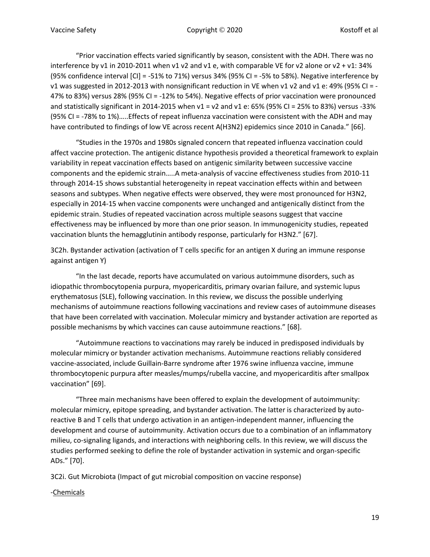"Prior vaccination effects varied significantly by season, consistent with the ADH. There was no interference by v1 in 2010-2011 when v1 v2 and v1 e, with comparable VE for v2 alone or v2 + v1: 34% (95% confidence interval [CI] = -51% to 71%) versus 34% (95% CI = -5% to 58%). Negative interference by v1 was suggested in 2012-2013 with nonsignificant reduction in VE when v1 v2 and v1 e: 49% (95% CI = - 47% to 83%) versus 28% (95% CI = -12% to 54%). Negative effects of prior vaccination were pronounced and statistically significant in 2014-2015 when  $v1 = v2$  and  $v1$  e: 65% (95% CI = 25% to 83%) versus -33% (95% CI = -78% to 1%)…..Effects of repeat influenza vaccination were consistent with the ADH and may have contributed to findings of low VE across recent A(H3N2) epidemics since 2010 in Canada." [66].

"Studies in the 1970s and 1980s signaled concern that repeated influenza vaccination could affect vaccine protection. The antigenic distance hypothesis provided a theoretical framework to explain variability in repeat vaccination effects based on antigenic similarity between successive vaccine components and the epidemic strain…..A meta-analysis of vaccine effectiveness studies from 2010-11 through 2014-15 shows substantial heterogeneity in repeat vaccination effects within and between seasons and subtypes. When negative effects were observed, they were most pronounced for H3N2, especially in 2014-15 when vaccine components were unchanged and antigenically distinct from the epidemic strain. Studies of repeated vaccination across multiple seasons suggest that vaccine effectiveness may be influenced by more than one prior season. In immunogenicity studies, repeated vaccination blunts the hemagglutinin antibody response, particularly for H3N2." [67].

3C2h. Bystander activation (activation of T cells specific for an antigen X during an immune response against antigen Y)

"In the last decade, reports have accumulated on various autoimmune disorders, such as idiopathic thrombocytopenia purpura, myopericarditis, primary ovarian failure, and systemic lupus erythematosus (SLE), following vaccination. In this review, we discuss the possible underlying mechanisms of autoimmune reactions following vaccinations and review cases of autoimmune diseases that have been correlated with vaccination. Molecular mimicry and bystander activation are reported as possible mechanisms by which vaccines can cause autoimmune reactions." [68].

"Autoimmune reactions to vaccinations may rarely be induced in predisposed individuals by molecular mimicry or bystander activation mechanisms. Autoimmune reactions reliably considered vaccine-associated, include Guillain-Barre syndrome after 1976 swine influenza vaccine, immune thrombocytopenic purpura after measles/mumps/rubella vaccine, and myopericarditis after smallpox vaccination" [69].

"Three main mechanisms have been offered to explain the development of autoimmunity: molecular mimicry, epitope spreading, and bystander activation. The latter is characterized by autoreactive B and T cells that undergo activation in an antigen-independent manner, influencing the development and course of autoimmunity. Activation occurs due to a combination of an inflammatory milieu, co-signaling ligands, and interactions with neighboring cells. In this review, we will discuss the studies performed seeking to define the role of bystander activation in systemic and organ-specific ADs." [70].

3C2i. Gut Microbiota (Impact of gut microbial composition on vaccine response)

# -Chemicals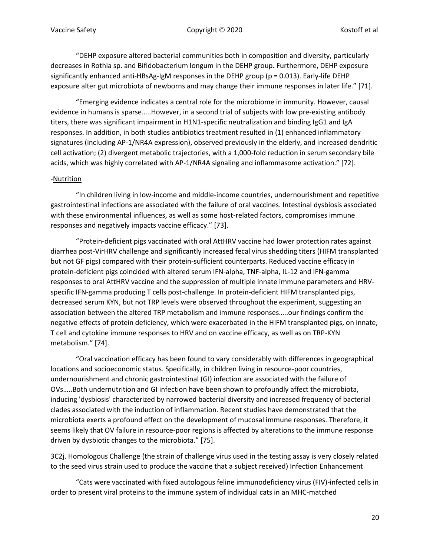"DEHP exposure altered bacterial communities both in composition and diversity, particularly decreases in Rothia sp. and Bifidobacterium longum in the DEHP group. Furthermore, DEHP exposure significantly enhanced anti-HBsAg-IgM responses in the DEHP group (p = 0.013). Early-life DEHP exposure alter gut microbiota of newborns and may change their immune responses in later life." [71].

"Emerging evidence indicates a central role for the microbiome in immunity. However, causal evidence in humans is sparse…..However, in a second trial of subjects with low pre-existing antibody titers, there was significant impairment in H1N1-specific neutralization and binding IgG1 and IgA responses. In addition, in both studies antibiotics treatment resulted in (1) enhanced inflammatory signatures (including AP-1/NR4A expression), observed previously in the elderly, and increased dendritic cell activation; (2) divergent metabolic trajectories, with a 1,000-fold reduction in serum secondary bile acids, which was highly correlated with AP-1/NR4A signaling and inflammasome activation." [72].

## -Nutrition

"In children living in low-income and middle-income countries, undernourishment and repetitive gastrointestinal infections are associated with the failure of oral vaccines. Intestinal dysbiosis associated with these environmental influences, as well as some host-related factors, compromises immune responses and negatively impacts vaccine efficacy." [73].

"Protein-deficient pigs vaccinated with oral AttHRV vaccine had lower protection rates against diarrhea post-VirHRV challenge and significantly increased fecal virus shedding titers (HIFM transplanted but not GF pigs) compared with their protein-sufficient counterparts. Reduced vaccine efficacy in protein-deficient pigs coincided with altered serum IFN-alpha, TNF-alpha, IL-12 and IFN-gamma responses to oral AttHRV vaccine and the suppression of multiple innate immune parameters and HRVspecific IFN-gamma producing T cells post-challenge. In protein-deficient HIFM transplanted pigs, decreased serum KYN, but not TRP levels were observed throughout the experiment, suggesting an association between the altered TRP metabolism and immune responses…..our findings confirm the negative effects of protein deficiency, which were exacerbated in the HIFM transplanted pigs, on innate, T cell and cytokine immune responses to HRV and on vaccine efficacy, as well as on TRP-KYN metabolism." [74].

"Oral vaccination efficacy has been found to vary considerably with differences in geographical locations and socioeconomic status. Specifically, in children living in resource-poor countries, undernourishment and chronic gastrointestinal (GI) infection are associated with the failure of OVs…..Both undernutrition and GI infection have been shown to profoundly affect the microbiota, inducing 'dysbiosis' characterized by narrowed bacterial diversity and increased frequency of bacterial clades associated with the induction of inflammation. Recent studies have demonstrated that the microbiota exerts a profound effect on the development of mucosal immune responses. Therefore, it seems likely that OV failure in resource-poor regions is affected by alterations to the immune response driven by dysbiotic changes to the microbiota." [75].

3C2j. Homologous Challenge (the strain of challenge virus used in the testing assay is very closely related to the seed virus strain used to produce the vaccine that a subject received) Infection Enhancement

"Cats were vaccinated with fixed autologous feline immunodeficiency virus (FIV)-infected cells in order to present viral proteins to the immune system of individual cats in an MHC-matched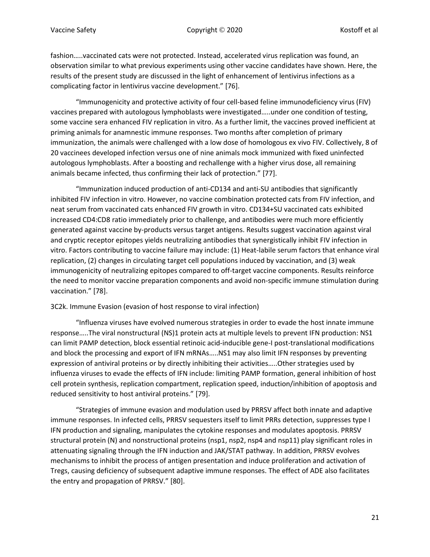fashion…..vaccinated cats were not protected. Instead, accelerated virus replication was found, an observation similar to what previous experiments using other vaccine candidates have shown. Here, the results of the present study are discussed in the light of enhancement of lentivirus infections as a complicating factor in lentivirus vaccine development." [76].

"Immunogenicity and protective activity of four cell-based feline immunodeficiency virus (FIV) vaccines prepared with autologous lymphoblasts were investigated…..under one condition of testing, some vaccine sera enhanced FIV replication in vitro. As a further limit, the vaccines proved inefficient at priming animals for anamnestic immune responses. Two months after completion of primary immunization, the animals were challenged with a low dose of homologous ex vivo FIV. Collectively, 8 of 20 vaccinees developed infection versus one of nine animals mock immunized with fixed uninfected autologous lymphoblasts. After a boosting and rechallenge with a higher virus dose, all remaining animals became infected, thus confirming their lack of protection." [77].

"Immunization induced production of anti-CD134 and anti-SU antibodies that significantly inhibited FIV infection in vitro. However, no vaccine combination protected cats from FIV infection, and neat serum from vaccinated cats enhanced FIV growth in vitro. CD134+SU vaccinated cats exhibited increased CD4:CD8 ratio immediately prior to challenge, and antibodies were much more efficiently generated against vaccine by-products versus target antigens. Results suggest vaccination against viral and cryptic receptor epitopes yields neutralizing antibodies that synergistically inhibit FIV infection in vitro. Factors contributing to vaccine failure may include: (1) Heat-labile serum factors that enhance viral replication, (2) changes in circulating target cell populations induced by vaccination, and (3) weak immunogenicity of neutralizing epitopes compared to off-target vaccine components. Results reinforce the need to monitor vaccine preparation components and avoid non-specific immune stimulation during vaccination." [78].

### 3C2k. Immune Evasion (evasion of host response to viral infection)

"Influenza viruses have evolved numerous strategies in order to evade the host innate immune response…..The viral nonstructural (NS)1 protein acts at multiple levels to prevent IFN production: NS1 can limit PAMP detection, block essential retinoic acid-inducible gene-I post-translational modifications and block the processing and export of IFN mRNAs…..NS1 may also limit IFN responses by preventing expression of antiviral proteins or by directly inhibiting their activities…..Other strategies used by influenza viruses to evade the effects of IFN include: limiting PAMP formation, general inhibition of host cell protein synthesis, replication compartment, replication speed, induction/inhibition of apoptosis and reduced sensitivity to host antiviral proteins." [79].

"Strategies of immune evasion and modulation used by PRRSV affect both innate and adaptive immune responses. In infected cells, PRRSV sequesters itself to limit PRRs detection, suppresses type I IFN production and signaling, manipulates the cytokine responses and modulates apoptosis. PRRSV structural protein (N) and nonstructional proteins (nsp1, nsp2, nsp4 and nsp11) play significant roles in attenuating signaling through the IFN induction and JAK/STAT pathway. In addition, PRRSV evolves mechanisms to inhibit the process of antigen presentation and induce proliferation and activation of Tregs, causing deficiency of subsequent adaptive immune responses. The effect of ADE also facilitates the entry and propagation of PRRSV." [80].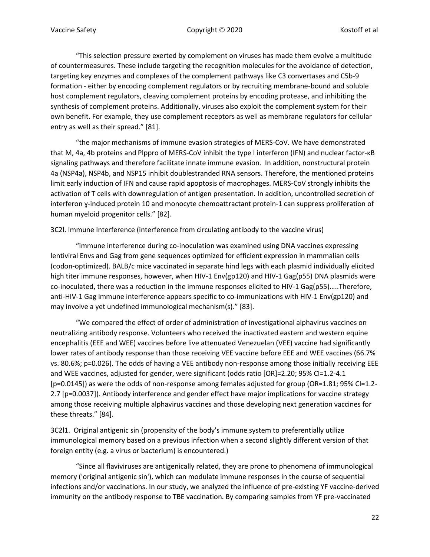"This selection pressure exerted by complement on viruses has made them evolve a multitude of countermeasures. These include targeting the recognition molecules for the avoidance of detection, targeting key enzymes and complexes of the complement pathways like C3 convertases and C5b-9 formation - either by encoding complement regulators or by recruiting membrane-bound and soluble host complement regulators, cleaving complement proteins by encoding protease, and inhibiting the synthesis of complement proteins. Additionally, viruses also exploit the complement system for their own benefit. For example, they use complement receptors as well as membrane regulators for cellular entry as well as their spread." [81].

"the major mechanisms of immune evasion strategies of MERS‐CoV. We have demonstrated that M, 4a, 4b proteins and Plppro of MERS‐CoV inhibit the type I interferon (IFN) and nuclear factor‐κB signaling pathways and therefore facilitate innate immune evasion. In addition, nonstructural protein 4a (NSP4a), NSP4b, and NSP15 inhibit doublestranded RNA sensors. Therefore, the mentioned proteins limit early induction of IFN and cause rapid apoptosis of macrophages. MERS‐CoV strongly inhibits the activation of T cells with downregulation of antigen presentation. In addition, uncontrolled secretion of interferon ɣ‐induced protein 10 and monocyte chemoattractant protein‐1 can suppress proliferation of human myeloid progenitor cells." [82].

3C2l. Immune Interference (interference from circulating antibody to the vaccine virus)

"immune interference during co-inoculation was examined using DNA vaccines expressing lentiviral Envs and Gag from gene sequences optimized for efficient expression in mammalian cells (codon-optimized). BALB/c mice vaccinated in separate hind legs with each plasmid individually elicited high titer immune responses, however, when HIV-1 Env(gp120) and HIV-1 Gag(p55) DNA plasmids were co-inoculated, there was a reduction in the immune responses elicited to HIV-1 Gag(p55)…..Therefore, anti-HIV-1 Gag immune interference appears specific to co-immunizations with HIV-1 Env(gp120) and may involve a yet undefined immunological mechanism(s)." [83].

"We compared the effect of order of administration of investigational alphavirus vaccines on neutralizing antibody response. Volunteers who received the inactivated eastern and western equine encephalitis (EEE and WEE) vaccines before live attenuated Venezuelan (VEE) vaccine had significantly lower rates of antibody response than those receiving VEE vaccine before EEE and WEE vaccines (66.7% vs. 80.6%; p=0.026). The odds of having a VEE antibody non-response among those initially receiving EEE and WEE vaccines, adjusted for gender, were significant (odds ratio [OR]=2.20; 95% CI=1.2-4.1 [p=0.0145]) as were the odds of non-response among females adjusted for group (OR=1.81; 95% CI=1.2- 2.7 [p=0.0037]). Antibody interference and gender effect have major implications for vaccine strategy among those receiving multiple alphavirus vaccines and those developing next generation vaccines for these threats." [84].

3C2l1. Original antigenic sin (propensity of the body's immune system to preferentially utilize immunological memory based on a previous infection when a second slightly different version of that foreign entity (e.g. a virus or bacterium) is encountered.)

"Since all flaviviruses are antigenically related, they are prone to phenomena of immunological memory ('original antigenic sin'), which can modulate immune responses in the course of sequential infections and/or vaccinations. In our study, we analyzed the influence of pre-existing YF vaccine-derived immunity on the antibody response to TBE vaccination. By comparing samples from YF pre-vaccinated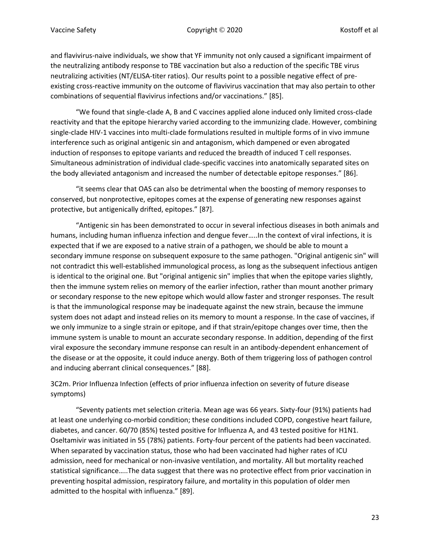and flavivirus-naive individuals, we show that YF immunity not only caused a significant impairment of the neutralizing antibody response to TBE vaccination but also a reduction of the specific TBE virus neutralizing activities (NT/ELISA-titer ratios). Our results point to a possible negative effect of preexisting cross-reactive immunity on the outcome of flavivirus vaccination that may also pertain to other combinations of sequential flavivirus infections and/or vaccinations." [85].

"We found that single-clade A, B and C vaccines applied alone induced only limited cross-clade reactivity and that the epitope hierarchy varied according to the immunizing clade. However, combining single-clade HIV-1 vaccines into multi-clade formulations resulted in multiple forms of in vivo immune interference such as original antigenic sin and antagonism, which dampened or even abrogated induction of responses to epitope variants and reduced the breadth of induced T cell responses. Simultaneous administration of individual clade-specific vaccines into anatomically separated sites on the body alleviated antagonism and increased the number of detectable epitope responses." [86].

"it seems clear that OAS can also be detrimental when the boosting of memory responses to conserved, but nonprotective, epitopes comes at the expense of generating new responses against protective, but antigenically drifted, epitopes." [87].

"Antigenic sin has been demonstrated to occur in several infectious diseases in both animals and humans, including human influenza infection and dengue fever…..In the context of viral infections, it is expected that if we are exposed to a native strain of a pathogen, we should be able to mount a secondary immune response on subsequent exposure to the same pathogen. "Original antigenic sin" will not contradict this well-established immunological process, as long as the subsequent infectious antigen is identical to the original one. But "original antigenic sin" implies that when the epitope varies slightly, then the immune system relies on memory of the earlier infection, rather than mount another primary or secondary response to the new epitope which would allow faster and stronger responses. The result is that the immunological response may be inadequate against the new strain, because the immune system does not adapt and instead relies on its memory to mount a response. In the case of vaccines, if we only immunize to a single strain or epitope, and if that strain/epitope changes over time, then the immune system is unable to mount an accurate secondary response. In addition, depending of the first viral exposure the secondary immune response can result in an antibody-dependent enhancement of the disease or at the opposite, it could induce anergy. Both of them triggering loss of pathogen control and inducing aberrant clinical consequences." [88].

3C2m. Prior Influenza Infection (effects of prior influenza infection on severity of future disease symptoms)

"Seventy patients met selection criteria. Mean age was 66 years. Sixty-four (91%) patients had at least one underlying co-morbid condition; these conditions included COPD, congestive heart failure, diabetes, and cancer. 60/70 (85%) tested positive for Influenza A, and 43 tested positive for H1N1. Oseltamivir was initiated in 55 (78%) patients. Forty-four percent of the patients had been vaccinated. When separated by vaccination status, those who had been vaccinated had higher rates of ICU admission, need for mechanical or non-invasive ventilation, and mortality. All but mortality reached statistical significance…..The data suggest that there was no protective effect from prior vaccination in preventing hospital admission, respiratory failure, and mortality in this population of older men admitted to the hospital with influenza." [89].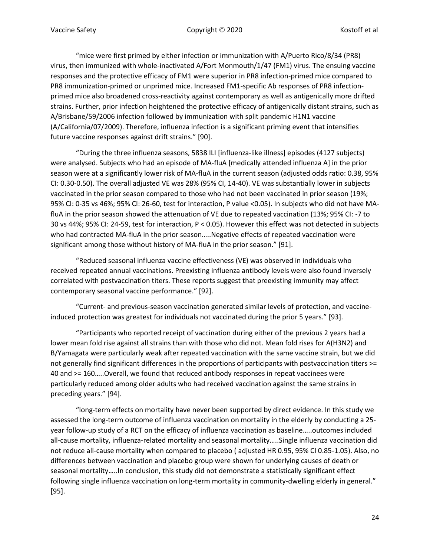"mice were first primed by either infection or immunization with A/Puerto Rico/8/34 (PR8) virus, then immunized with whole-inactivated A/Fort Monmouth/1/47 (FM1) virus. The ensuing vaccine responses and the protective efficacy of FM1 were superior in PR8 infection-primed mice compared to PR8 immunization-primed or unprimed mice. Increased FM1-specific Ab responses of PR8 infectionprimed mice also broadened cross-reactivity against contemporary as well as antigenically more drifted strains. Further, prior infection heightened the protective efficacy of antigenically distant strains, such as A/Brisbane/59/2006 infection followed by immunization with split pandemic H1N1 vaccine (A/California/07/2009). Therefore, influenza infection is a significant priming event that intensifies future vaccine responses against drift strains." [90].

"During the three influenza seasons, 5838 ILI [influenza-like illness] episodes (4127 subjects) were analysed. Subjects who had an episode of MA-fluA [medically attended influenza A] in the prior season were at a significantly lower risk of MA-fluA in the current season (adjusted odds ratio: 0.38, 95% CI: 0.30-0.50). The overall adjusted VE was 28% (95% CI, 14-40). VE was substantially lower in subjects vaccinated in the prior season compared to those who had not been vaccinated in prior season (19%; 95% CI: 0-35 vs 46%; 95% CI: 26-60, test for interaction, P value <0.05). In subjects who did not have MAfluA in the prior season showed the attenuation of VE due to repeated vaccination (13%; 95% CI: -7 to 30 vs 44%; 95% CI: 24-59, test for interaction, P < 0.05). However this effect was not detected in subjects who had contracted MA-fluA in the prior season…..Negative effects of repeated vaccination were significant among those without history of MA-fluA in the prior season." [91].

"Reduced seasonal influenza vaccine effectiveness (VE) was observed in individuals who received repeated annual vaccinations. Preexisting influenza antibody levels were also found inversely correlated with postvaccination titers. These reports suggest that preexisting immunity may affect contemporary seasonal vaccine performance." [92].

"Current- and previous-season vaccination generated similar levels of protection, and vaccineinduced protection was greatest for individuals not vaccinated during the prior 5 years." [93].

"Participants who reported receipt of vaccination during either of the previous 2 years had a lower mean fold rise against all strains than with those who did not. Mean fold rises for A(H3N2) and B/Yamagata were particularly weak after repeated vaccination with the same vaccine strain, but we did not generally find significant differences in the proportions of participants with postvaccination titers >= 40 and >= 160…..Overall, we found that reduced antibody responses in repeat vaccinees were particularly reduced among older adults who had received vaccination against the same strains in preceding years." [94].

"long-term effects on mortality have never been supported by direct evidence. In this study we assessed the long-term outcome of influenza vaccination on mortality in the elderly by conducting a 25 year follow-up study of a RCT on the efficacy of influenza vaccination as baseline…..outcomes included all-cause mortality, influenza-related mortality and seasonal mortality…..Single influenza vaccination did not reduce all-cause mortality when compared to placebo ( adjusted HR 0.95, 95% CI 0.85-1.05). Also, no differences between vaccination and placebo group were shown for underlying causes of death or seasonal mortality…..In conclusion, this study did not demonstrate a statistically significant effect following single influenza vaccination on long-term mortality in community-dwelling elderly in general." [95].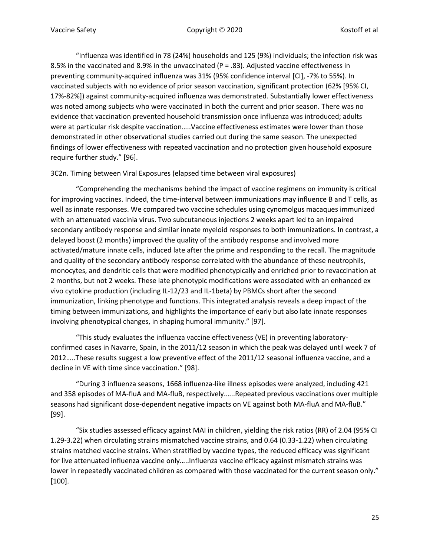"Influenza was identified in 78 (24%) households and 125 (9%) individuals; the infection risk was 8.5% in the vaccinated and 8.9% in the unvaccinated (P = .83). Adjusted vaccine effectiveness in preventing community-acquired influenza was 31% (95% confidence interval [CI], -7% to 55%). In vaccinated subjects with no evidence of prior season vaccination, significant protection (62% [95% CI, 17%-82%]) against community-acquired influenza was demonstrated. Substantially lower effectiveness was noted among subjects who were vaccinated in both the current and prior season. There was no evidence that vaccination prevented household transmission once influenza was introduced; adults were at particular risk despite vaccination…..Vaccine effectiveness estimates were lower than those demonstrated in other observational studies carried out during the same season. The unexpected findings of lower effectiveness with repeated vaccination and no protection given household exposure require further study." [96].

### 3C2n. Timing between Viral Exposures (elapsed time between viral exposures)

"Comprehending the mechanisms behind the impact of vaccine regimens on immunity is critical for improving vaccines. Indeed, the time-interval between immunizations may influence B and T cells, as well as innate responses. We compared two vaccine schedules using cynomolgus macaques immunized with an attenuated vaccinia virus. Two subcutaneous injections 2 weeks apart led to an impaired secondary antibody response and similar innate myeloid responses to both immunizations. In contrast, a delayed boost (2 months) improved the quality of the antibody response and involved more activated/mature innate cells, induced late after the prime and responding to the recall. The magnitude and quality of the secondary antibody response correlated with the abundance of these neutrophils, monocytes, and dendritic cells that were modified phenotypically and enriched prior to revaccination at 2 months, but not 2 weeks. These late phenotypic modifications were associated with an enhanced ex vivo cytokine production (including IL-12/23 and IL-1beta) by PBMCs short after the second immunization, linking phenotype and functions. This integrated analysis reveals a deep impact of the timing between immunizations, and highlights the importance of early but also late innate responses involving phenotypical changes, in shaping humoral immunity." [97].

"This study evaluates the influenza vaccine effectiveness (VE) in preventing laboratoryconfirmed cases in Navarre, Spain, in the 2011/12 season in which the peak was delayed until week 7 of 2012…..These results suggest a low preventive effect of the 2011/12 seasonal influenza vaccine, and a decline in VE with time since vaccination." [98].

"During 3 influenza seasons, 1668 influenza-like illness episodes were analyzed, including 421 and 358 episodes of MA-fluA and MA-fluB, respectively.…..Repeated previous vaccinations over multiple seasons had significant dose-dependent negative impacts on VE against both MA-fluA and MA-fluB." [99].

"Six studies assessed efficacy against MAI in children, yielding the risk ratios (RR) of 2.04 (95% CI 1.29-3.22) when circulating strains mismatched vaccine strains, and 0.64 (0.33-1.22) when circulating strains matched vaccine strains. When stratified by vaccine types, the reduced efficacy was significant for live attenuated influenza vaccine only…..Influenza vaccine efficacy against mismatch strains was lower in repeatedly vaccinated children as compared with those vaccinated for the current season only." [100].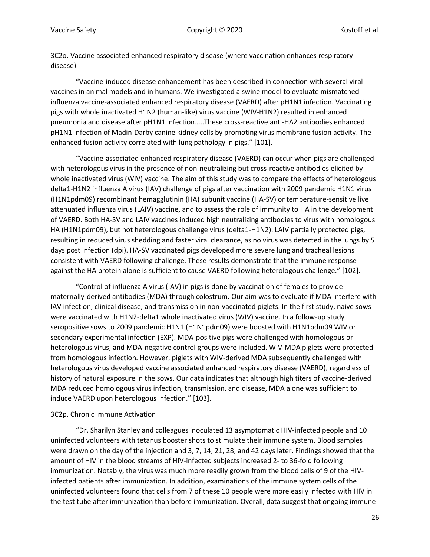3C2o. Vaccine associated enhanced respiratory disease (where vaccination enhances respiratory disease)

"Vaccine-induced disease enhancement has been described in connection with several viral vaccines in animal models and in humans. We investigated a swine model to evaluate mismatched influenza vaccine-associated enhanced respiratory disease (VAERD) after pH1N1 infection. Vaccinating pigs with whole inactivated H1N2 (human-like) virus vaccine (WIV-H1N2) resulted in enhanced pneumonia and disease after pH1N1 infection…..These cross-reactive anti-HA2 antibodies enhanced pH1N1 infection of Madin-Darby canine kidney cells by promoting virus membrane fusion activity. The enhanced fusion activity correlated with lung pathology in pigs." [101].

"Vaccine-associated enhanced respiratory disease (VAERD) can occur when pigs are challenged with heterologous virus in the presence of non-neutralizing but cross-reactive antibodies elicited by whole inactivated virus (WIV) vaccine. The aim of this study was to compare the effects of heterologous delta1-H1N2 influenza A virus (IAV) challenge of pigs after vaccination with 2009 pandemic H1N1 virus (H1N1pdm09) recombinant hemagglutinin (HA) subunit vaccine (HA-SV) or temperature-sensitive live attenuated influenza virus (LAIV) vaccine, and to assess the role of immunity to HA in the development of VAERD. Both HA-SV and LAIV vaccines induced high neutralizing antibodies to virus with homologous HA (H1N1pdm09), but not heterologous challenge virus (delta1-H1N2). LAIV partially protected pigs, resulting in reduced virus shedding and faster viral clearance, as no virus was detected in the lungs by 5 days post infection (dpi). HA-SV vaccinated pigs developed more severe lung and tracheal lesions consistent with VAERD following challenge. These results demonstrate that the immune response against the HA protein alone is sufficient to cause VAERD following heterologous challenge." [102].

"Control of influenza A virus (IAV) in pigs is done by vaccination of females to provide maternally-derived antibodies (MDA) through colostrum. Our aim was to evaluate if MDA interfere with IAV infection, clinical disease, and transmission in non-vaccinated piglets. In the first study, naive sows were vaccinated with H1N2-delta1 whole inactivated virus (WIV) vaccine. In a follow-up study seropositive sows to 2009 pandemic H1N1 (H1N1pdm09) were boosted with H1N1pdm09 WIV or secondary experimental infection (EXP). MDA-positive pigs were challenged with homologous or heterologous virus, and MDA-negative control groups were included. WIV-MDA piglets were protected from homologous infection. However, piglets with WIV-derived MDA subsequently challenged with heterologous virus developed vaccine associated enhanced respiratory disease (VAERD), regardless of history of natural exposure in the sows. Our data indicates that although high titers of vaccine-derived MDA reduced homologous virus infection, transmission, and disease, MDA alone was sufficient to induce VAERD upon heterologous infection." [103].

### 3C2p. Chronic Immune Activation

"Dr. Sharilyn Stanley and colleagues inoculated 13 asymptomatic HIV-infected people and 10 uninfected volunteers with tetanus booster shots to stimulate their immune system. Blood samples were drawn on the day of the injection and 3, 7, 14, 21, 28, and 42 days later. Findings showed that the amount of HIV in the blood streams of HIV-infected subjects increased 2- to 36-fold following immunization. Notably, the virus was much more readily grown from the blood cells of 9 of the HIVinfected patients after immunization. In addition, examinations of the immune system cells of the uninfected volunteers found that cells from 7 of these 10 people were more easily infected with HIV in the test tube after immunization than before immunization. Overall, data suggest that ongoing immune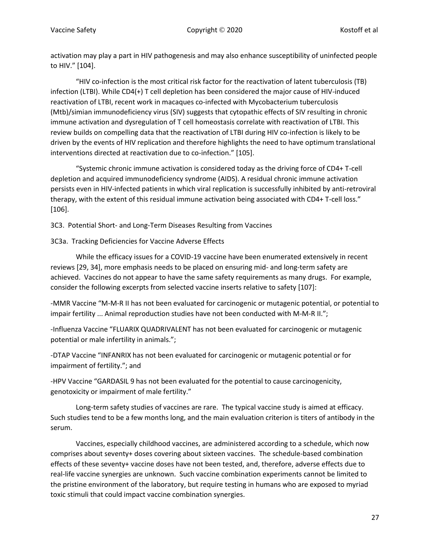activation may play a part in HIV pathogenesis and may also enhance susceptibility of uninfected people to HIV." [104].

"HIV co-infection is the most critical risk factor for the reactivation of latent tuberculosis (TB) infection (LTBI). While CD4(+) T cell depletion has been considered the major cause of HIV-induced reactivation of LTBI, recent work in macaques co-infected with Mycobacterium tuberculosis (Mtb)/simian immunodeficiency virus (SIV) suggests that cytopathic effects of SIV resulting in chronic immune activation and dysregulation of T cell homeostasis correlate with reactivation of LTBI. This review builds on compelling data that the reactivation of LTBI during HIV co-infection is likely to be driven by the events of HIV replication and therefore highlights the need to have optimum translational interventions directed at reactivation due to co-infection." [105].

"Systemic chronic immune activation is considered today as the driving force of CD4+ T-cell depletion and acquired immunodeficiency syndrome (AIDS). A residual chronic immune activation persists even in HIV-infected patients in which viral replication is successfully inhibited by anti-retroviral therapy, with the extent of this residual immune activation being associated with CD4+ T-cell loss." [106].

<span id="page-26-0"></span>3C3. Potential Short- and Long-Term Diseases Resulting from Vaccines

3C3a. Tracking Deficiencies for Vaccine Adverse Effects

While the efficacy issues for a COVID-19 vaccine have been enumerated extensively in recent reviews [29, 34], more emphasis needs to be placed on ensuring mid- and long-term safety are achieved. Vaccines do not appear to have the same safety requirements as many drugs. For example, consider the following excerpts from selected vaccine inserts relative to safety [107]:

-MMR Vaccine "M-M-R II has not been evaluated for carcinogenic or mutagenic potential, or potential to impair fertility ... Animal reproduction studies have not been conducted with M-M-R II.";

-Influenza Vaccine "FLUARIX QUADRIVALENT has not been evaluated for carcinogenic or mutagenic potential or male infertility in animals.";

-DTAP Vaccine "INFANRIX has not been evaluated for carcinogenic or mutagenic potential or for impairment of fertility."; and

-HPV Vaccine "GARDASIL 9 has not been evaluated for the potential to cause carcinogenicity, genotoxicity or impairment of male fertility."

Long-term safety studies of vaccines are rare. The typical vaccine study is aimed at efficacy. Such studies tend to be a few months long, and the main evaluation criterion is titers of antibody in the serum.

Vaccines, especially childhood vaccines, are administered according to a schedule, which now comprises about seventy+ doses covering about sixteen vaccines. The schedule-based combination effects of these seventy+ vaccine doses have not been tested, and, therefore, adverse effects due to real-life vaccine synergies are unknown. Such vaccine combination experiments cannot be limited to the pristine environment of the laboratory, but require testing in humans who are exposed to myriad toxic stimuli that could impact vaccine combination synergies.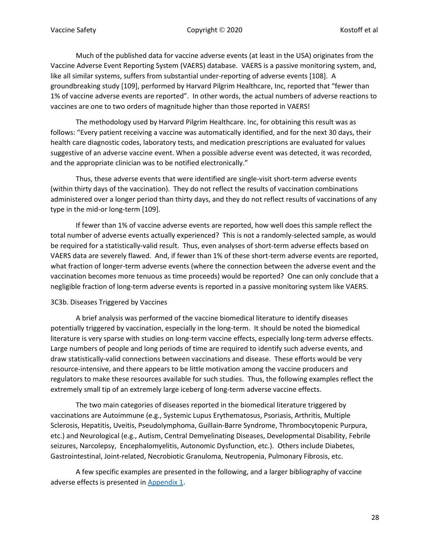Much of the published data for vaccine adverse events (at least in the USA) originates from the Vaccine Adverse Event Reporting System (VAERS) database. VAERS is a passive monitoring system, and, like all similar systems, suffers from substantial under-reporting of adverse events [108]. A groundbreaking study [109], performed by Harvard Pilgrim Healthcare, Inc, reported that "fewer than 1% of vaccine adverse events are reported". In other words, the actual numbers of adverse reactions to vaccines are one to two orders of magnitude higher than those reported in VAERS!

The methodology used by Harvard Pilgrim Healthcare. Inc, for obtaining this result was as follows: "Every patient receiving a vaccine was automatically identified, and for the next 30 days, their health care diagnostic codes, laboratory tests, and medication prescriptions are evaluated for values suggestive of an adverse vaccine event. When a possible adverse event was detected, it was recorded, and the appropriate clinician was to be notified electronically."

Thus, these adverse events that were identified are single-visit short-term adverse events (within thirty days of the vaccination). They do not reflect the results of vaccination combinations administered over a longer period than thirty days, and they do not reflect results of vaccinations of any type in the mid-or long-term [109].

If fewer than 1% of vaccine adverse events are reported, how well does this sample reflect the total number of adverse events actually experienced? This is not a randomly-selected sample, as would be required for a statistically-valid result. Thus, even analyses of short-term adverse effects based on VAERS data are severely flawed. And, if fewer than 1% of these short-term adverse events are reported, what fraction of longer-term adverse events (where the connection between the adverse event and the vaccination becomes more tenuous as time proceeds) would be reported? One can only conclude that a negligible fraction of long-term adverse events is reported in a passive monitoring system like VAERS.

### 3C3b. Diseases Triggered by Vaccines

A brief analysis was performed of the vaccine biomedical literature to identify diseases potentially triggered by vaccination, especially in the long-term. It should be noted the biomedical literature is very sparse with studies on long-term vaccine effects, especially long-term adverse effects. Large numbers of people and long periods of time are required to identify such adverse events, and draw statistically-valid connections between vaccinations and disease. These efforts would be very resource-intensive, and there appears to be little motivation among the vaccine producers and regulators to make these resources available for such studies. Thus, the following examples reflect the extremely small tip of an extremely large iceberg of long-term adverse vaccine effects.

The two main categories of diseases reported in the biomedical literature triggered by vaccinations are Autoimmune (e.g., Systemic Lupus Erythematosus, Psoriasis, Arthritis, Multiple Sclerosis, Hepatitis, Uveitis, Pseudolymphoma, Guillain-Barre Syndrome, Thrombocytopenic Purpura, etc.) and Neurological (e.g., Autism, Central Demyelinating Diseases, Developmental Disability, Febrile seizures, Narcolepsy, Encephalomyelitis, Autonomic Dysfunction, etc.). Others include Diabetes, Gastrointestinal, Joint-related, Necrobiotic Granuloma, Neutropenia, Pulmonary Fibrosis, etc.

A few specific examples are presented in the following, and a larger bibliography of vaccine adverse effects is presented i[n Appendix 1.](#page-40-0)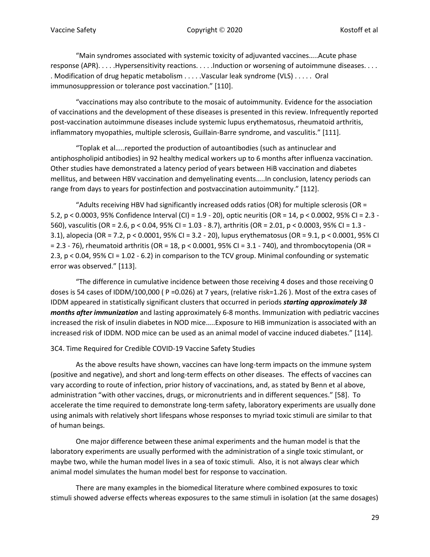"Main syndromes associated with systemic toxicity of adjuvanted vaccines…..Acute phase response (APR). . . . . Hypersensitivity reactions. . . . . Induction or worsening of autoimmune diseases. . . . . Modification of drug hepatic metabolism . . . . .Vascular leak syndrome (VLS) . . . . . Oral immunosuppression or tolerance post vaccination." [110].

"vaccinations may also contribute to the mosaic of autoimmunity. Evidence for the association of vaccinations and the development of these diseases is presented in this review. Infrequently reported post-vaccination autoimmune diseases include systemic lupus erythematosus, rheumatoid arthritis, inflammatory myopathies, multiple sclerosis, Guillain-Barre syndrome, and vasculitis." [111].

"Toplak et al…..reported the production of autoantibodies (such as antinuclear and antiphospholipid antibodies) in 92 healthy medical workers up to 6 months after influenza vaccination. Other studies have demonstrated a latency period of years between HiB vaccination and diabetes mellitus, and between HBV vaccination and demyelinating events…..In conclusion, latency periods can range from days to years for postinfection and postvaccination autoimmunity." [112].

"Adults receiving HBV had significantly increased odds ratios (OR) for multiple sclerosis (OR = 5.2, p < 0.0003, 95% Confidence Interval (CI) = 1.9 - 20), optic neuritis (OR = 14, p < 0.0002, 95% CI = 2.3 - 560), vasculitis (OR = 2.6, p < 0.04, 95% CI = 1.03 - 8.7), arthritis (OR = 2.01, p < 0.0003, 95% CI = 1.3 - 3.1), alopecia (OR = 7.2, p < 0.0001, 95% CI = 3.2 - 20), lupus erythematosus (OR = 9.1, p < 0.0001, 95% CI  $= 2.3 - 76$ ), rheumatoid arthritis (OR = 18, p < 0.0001, 95% CI = 3.1 - 740), and thrombocytopenia (OR = 2.3, p < 0.04, 95% CI = 1.02 - 6.2) in comparison to the TCV group. Minimal confounding or systematic error was observed." [113].

"The difference in cumulative incidence between those receiving 4 doses and those receiving 0 doses is 54 cases of IDDM/100,000 ( P =0.026) at 7 years, (relative risk=1.26 ). Most of the extra cases of IDDM appeared in statistically significant clusters that occurred in periods *starting approximately 38 months after immunization* and lasting approximately 6-8 months. Immunization with pediatric vaccines increased the risk of insulin diabetes in NOD mice…..Exposure to HiB immunization is associated with an increased risk of IDDM. NOD mice can be used as an animal model of vaccine induced diabetes." [114].

### <span id="page-28-0"></span>3C4. Time Required for Credible COVID-19 Vaccine Safety Studies

As the above results have shown, vaccines can have long-term impacts on the immune system (positive and negative), and short and long-term effects on other diseases. The effects of vaccines can vary according to route of infection, prior history of vaccinations, and, as stated by Benn et al above, administration "with other vaccines, drugs, or micronutrients and in different sequences." [58]. To accelerate the time required to demonstrate long-term safety, laboratory experiments are usually done using animals with relatively short lifespans whose responses to myriad toxic stimuli are similar to that of human beings.

One major difference between these animal experiments and the human model is that the laboratory experiments are usually performed with the administration of a single toxic stimulant, or maybe two, while the human model lives in a sea of toxic stimuli. Also, it is not always clear which animal model simulates the human model best for response to vaccination.

There are many examples in the biomedical literature where combined exposures to toxic stimuli showed adverse effects whereas exposures to the same stimuli in isolation (at the same dosages)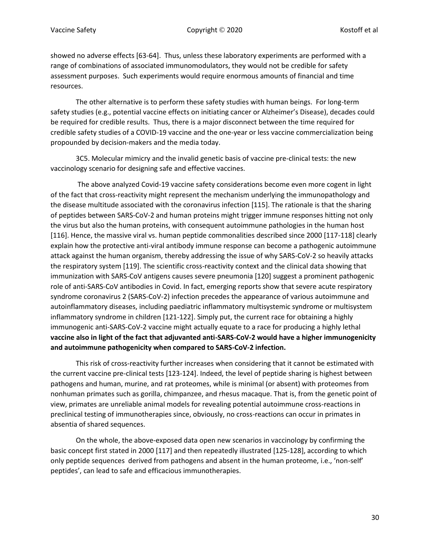showed no adverse effects [63-64]. Thus, unless these laboratory experiments are performed with a range of combinations of associated immunomodulators, they would not be credible for safety assessment purposes. Such experiments would require enormous amounts of financial and time resources.

The other alternative is to perform these safety studies with human beings. For long-term safety studies (e.g., potential vaccine effects on initiating cancer or Alzheimer's Disease), decades could be required for credible results. Thus, there is a major disconnect between the time required for credible safety studies of a COVID-19 vaccine and the one-year or less vaccine commercialization being propounded by decision-makers and the media today.

3C5. Molecular mimicry and the invalid genetic basis of vaccine pre-clinical tests: the new vaccinology scenario for designing safe and effective vaccines.

The above analyzed Covid-19 vaccine safety considerations become even more cogent in light of the fact that cross-reactivity might represent the mechanism underlying the immunopathology and the disease multitude associated with the coronavirus infection [115]. The rationale is that the sharing of peptides between SARS-CoV-2 and human proteins might trigger immune responses hitting not only the virus but also the human proteins, with consequent autoimmune pathologies in the human host [116]. Hence, the massive viral vs. human peptide commonalities described since 2000 [117-118] clearly explain how the protective anti-viral antibody immune response can become a pathogenic autoimmune attack against the human organism, thereby addressing the issue of why SARS-CoV-2 so heavily attacks the respiratory system [119]. The scientific cross-reactivity context and the clinical data showing that immunization with SARS-CoV antigens causes severe pneumonia [120] suggest a prominent pathogenic role of anti-SARS-CoV antibodies in Covid. In fact, emerging reports show that severe acute respiratory syndrome coronavirus 2 (SARS-CoV-2) infection precedes the appearance of various autoimmune and autoinflammatory diseases, including paediatric inflammatory multisystemic syndrome or multisystem inflammatory syndrome in children [121-122]. Simply put, the current race for obtaining a highly immunogenic anti-SARS-CoV-2 vaccine might actually equate to a race for producing a highly lethal **vaccine also in light of the fact that adjuvanted anti-SARS-CoV-2 would have a higher immunogenicity and autoimmune pathogenicity when compared to SARS-CoV-2 infection.**

This risk of cross-reactivity further increases when considering that it cannot be estimated with the current vaccine pre-clinical tests [123-124]. Indeed, the level of peptide sharing is highest between pathogens and human, murine, and rat proteomes, while is minimal (or absent) with proteomes from nonhuman primates such as gorilla, chimpanzee, and rhesus macaque. That is, from the genetic point of view, primates are unreliable animal models for revealing potential autoimmune cross-reactions in preclinical testing of immunotherapies since, obviously, no cross-reactions can occur in primates in absentia of shared sequences.

On the whole, the above-exposed data open new scenarios in vaccinology by confirming the basic concept first stated in 2000 [117] and then repeatedly illustrated [125-128], according to which only peptide sequences derived from pathogens and absent in the human proteome, i.e., 'non-self' peptides', can lead to safe and efficacious immunotherapies.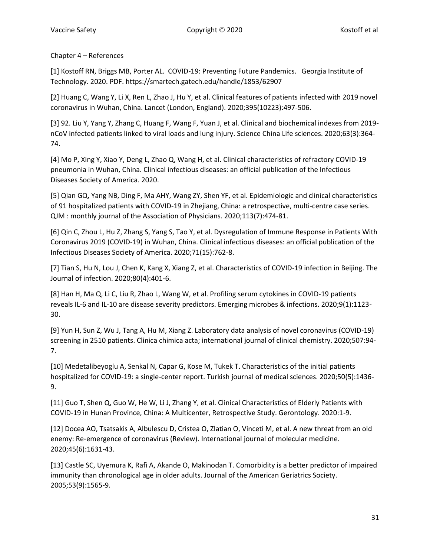### <span id="page-30-0"></span>Chapter 4 – References

[1] Kostoff RN, Briggs MB, Porter AL. COVID-19: Preventing Future Pandemics. Georgia Institute of Technology. 2020. PDF. https://smartech.gatech.edu/handle/1853/62907

[2] Huang C, Wang Y, Li X, Ren L, Zhao J, Hu Y, et al. Clinical features of patients infected with 2019 novel coronavirus in Wuhan, China. Lancet (London, England). 2020;395(10223):497-506.

[3] 92. Liu Y, Yang Y, Zhang C, Huang F, Wang F, Yuan J, et al. Clinical and biochemical indexes from 2019 nCoV infected patients linked to viral loads and lung injury. Science China Life sciences. 2020;63(3):364- 74.

[4] Mo P, Xing Y, Xiao Y, Deng L, Zhao Q, Wang H, et al. Clinical characteristics of refractory COVID-19 pneumonia in Wuhan, China. Clinical infectious diseases: an official publication of the Infectious Diseases Society of America. 2020.

[5] Qian GQ, Yang NB, Ding F, Ma AHY, Wang ZY, Shen YF, et al. Epidemiologic and clinical characteristics of 91 hospitalized patients with COVID-19 in Zhejiang, China: a retrospective, multi-centre case series. QJM : monthly journal of the Association of Physicians. 2020;113(7):474-81.

[6] Qin C, Zhou L, Hu Z, Zhang S, Yang S, Tao Y, et al. Dysregulation of Immune Response in Patients With Coronavirus 2019 (COVID-19) in Wuhan, China. Clinical infectious diseases: an official publication of the Infectious Diseases Society of America. 2020;71(15):762-8.

[7] Tian S, Hu N, Lou J, Chen K, Kang X, Xiang Z, et al. Characteristics of COVID-19 infection in Beijing. The Journal of infection. 2020;80(4):401-6.

[8] Han H, Ma Q, Li C, Liu R, Zhao L, Wang W, et al. Profiling serum cytokines in COVID-19 patients reveals IL-6 and IL-10 are disease severity predictors. Emerging microbes & infections. 2020;9(1):1123- 30.

[9] Yun H, Sun Z, Wu J, Tang A, Hu M, Xiang Z. Laboratory data analysis of novel coronavirus (COVID-19) screening in 2510 patients. Clinica chimica acta; international journal of clinical chemistry. 2020;507:94- 7.

[10] Medetalibeyoglu A, Senkal N, Capar G, Kose M, Tukek T. Characteristics of the initial patients hospitalized for COVID-19: a single-center report. Turkish journal of medical sciences. 2020;50(5):1436- 9.

[11] Guo T, Shen Q, Guo W, He W, Li J, Zhang Y, et al. Clinical Characteristics of Elderly Patients with COVID-19 in Hunan Province, China: A Multicenter, Retrospective Study. Gerontology. 2020:1-9.

[12] Docea AO, Tsatsakis A, Albulescu D, Cristea O, Zlatian O, Vinceti M, et al. A new threat from an old enemy: Re‑emergence of coronavirus (Review). International journal of molecular medicine. 2020;45(6):1631-43.

[13] Castle SC, Uyemura K, Rafi A, Akande O, Makinodan T. Comorbidity is a better predictor of impaired immunity than chronological age in older adults. Journal of the American Geriatrics Society. 2005;53(9):1565-9.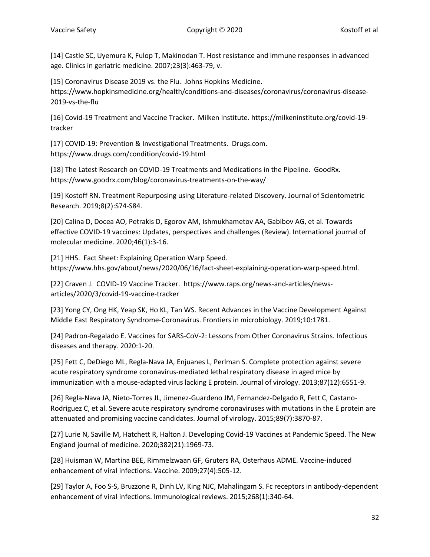[14] Castle SC, Uyemura K, Fulop T, Makinodan T. Host resistance and immune responses in advanced age. Clinics in geriatric medicine. 2007;23(3):463-79, v.

[15] Coronavirus Disease 2019 vs. the Flu. Johns Hopkins Medicine. https://www.hopkinsmedicine.org/health/conditions-and-diseases/coronavirus/coronavirus-disease-2019-vs-the-flu

[16] Covid-19 Treatment and Vaccine Tracker. Milken Institute. https://milkeninstitute.org/covid-19 tracker

[17] COVID-19: Prevention & Investigational Treatments. Drugs.com. https://www.drugs.com/condition/covid-19.html

[18] The Latest Research on COVID-19 Treatments and Medications in the Pipeline. GoodRx. https://www.goodrx.com/blog/coronavirus-treatments-on-the-way/

[19] Kostoff RN. Treatment Repurposing using Literature-related Discovery. Journal of Scientometric Research. 2019;8(2):S74-S84.

[20] Calina D, Docea AO, Petrakis D, Egorov AM, Ishmukhametov AA, Gabibov AG, et al. Towards effective COVID-19 vaccines: Updates, perspectives and challenges (Review). International journal of molecular medicine. 2020;46(1):3-16.

[21] HHS. Fact Sheet: Explaining Operation Warp Speed. https://www.hhs.gov/about/news/2020/06/16/fact-sheet-explaining-operation-warp-speed.html.

[22] Craven J. COVID-19 Vaccine Tracker. https://www.raps.org/news-and-articles/newsarticles/2020/3/covid-19-vaccine-tracker

[23] Yong CY, Ong HK, Yeap SK, Ho KL, Tan WS. Recent Advances in the Vaccine Development Against Middle East Respiratory Syndrome-Coronavirus. Frontiers in microbiology. 2019;10:1781.

[24] Padron-Regalado E. Vaccines for SARS-CoV-2: Lessons from Other Coronavirus Strains. Infectious diseases and therapy. 2020:1-20.

[25] Fett C, DeDiego ML, Regla-Nava JA, Enjuanes L, Perlman S. Complete protection against severe acute respiratory syndrome coronavirus-mediated lethal respiratory disease in aged mice by immunization with a mouse-adapted virus lacking E protein. Journal of virology. 2013;87(12):6551-9.

[26] Regla-Nava JA, Nieto-Torres JL, Jimenez-Guardeno JM, Fernandez-Delgado R, Fett C, Castano-Rodriguez C, et al. Severe acute respiratory syndrome coronaviruses with mutations in the E protein are attenuated and promising vaccine candidates. Journal of virology. 2015;89(7):3870-87.

[27] Lurie N, Saville M, Hatchett R, Halton J. Developing Covid-19 Vaccines at Pandemic Speed. The New England journal of medicine. 2020;382(21):1969-73.

[28] Huisman W, Martina BEE, Rimmelzwaan GF, Gruters RA, Osterhaus ADME. Vaccine-induced enhancement of viral infections. Vaccine. 2009;27(4):505-12.

[29] Taylor A, Foo S-S, Bruzzone R, Dinh LV, King NJC, Mahalingam S. Fc receptors in antibody-dependent enhancement of viral infections. Immunological reviews. 2015;268(1):340-64.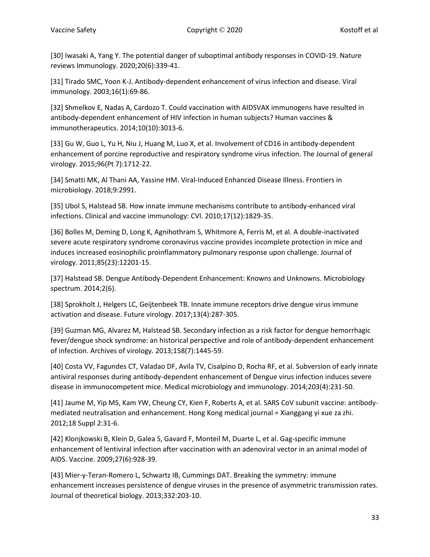[30] Iwasaki A, Yang Y. The potential danger of suboptimal antibody responses in COVID-19. Nature reviews Immunology. 2020;20(6):339-41.

[31] Tirado SMC, Yoon K-J. Antibody-dependent enhancement of virus infection and disease. Viral immunology. 2003;16(1):69-86.

[32] Shmelkov E, Nadas A, Cardozo T. Could vaccination with AIDSVAX immunogens have resulted in antibody-dependent enhancement of HIV infection in human subjects? Human vaccines & immunotherapeutics. 2014;10(10):3013-6.

[33] Gu W, Guo L, Yu H, Niu J, Huang M, Luo X, et al. Involvement of CD16 in antibody-dependent enhancement of porcine reproductive and respiratory syndrome virus infection. The Journal of general virology. 2015;96(Pt 7):1712-22.

[34] Smatti MK, Al Thani AA, Yassine HM. Viral-Induced Enhanced Disease Illness. Frontiers in microbiology. 2018;9:2991.

[35] Ubol S, Halstead SB. How innate immune mechanisms contribute to antibody-enhanced viral infections. Clinical and vaccine immunology: CVI. 2010;17(12):1829-35.

[36] Bolles M, Deming D, Long K, Agnihothram S, Whitmore A, Ferris M, et al. A double-inactivated severe acute respiratory syndrome coronavirus vaccine provides incomplete protection in mice and induces increased eosinophilic proinflammatory pulmonary response upon challenge. Journal of virology. 2011;85(23):12201-15.

[37] Halstead SB. Dengue Antibody-Dependent Enhancement: Knowns and Unknowns. Microbiology spectrum. 2014;2(6).

[38] Sprokholt J, Helgers LC, Geijtenbeek TB. Innate immune receptors drive dengue virus immune activation and disease. Future virology. 2017;13(4):287-305.

[39] Guzman MG, Alvarez M, Halstead SB. Secondary infection as a risk factor for dengue hemorrhagic fever/dengue shock syndrome: an historical perspective and role of antibody-dependent enhancement of infection. Archives of virology. 2013;158(7):1445-59.

[40] Costa VV, Fagundes CT, Valadao DF, Avila TV, Cisalpino D, Rocha RF, et al. Subversion of early innate antiviral responses during antibody-dependent enhancement of Dengue virus infection induces severe disease in immunocompetent mice. Medical microbiology and immunology. 2014;203(4):231-50.

[41] Jaume M, Yip MS, Kam YW, Cheung CY, Kien F, Roberts A, et al. SARS CoV subunit vaccine: antibodymediated neutralisation and enhancement. Hong Kong medical journal = Xianggang yi xue za zhi. 2012;18 Suppl 2:31-6.

[42] Klonjkowski B, Klein D, Galea S, Gavard F, Monteil M, Duarte L, et al. Gag-specific immune enhancement of lentiviral infection after vaccination with an adenoviral vector in an animal model of AIDS. Vaccine. 2009;27(6):928-39.

[43] Mier-y-Teran-Romero L, Schwartz IB, Cummings DAT. Breaking the symmetry: immune enhancement increases persistence of dengue viruses in the presence of asymmetric transmission rates. Journal of theoretical biology. 2013;332:203-10.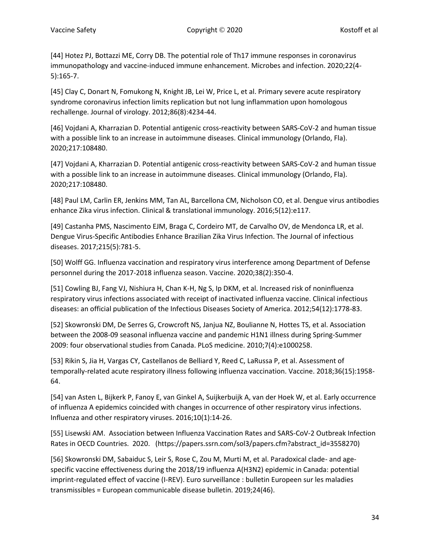[44] Hotez PJ, Bottazzi ME, Corry DB. The potential role of Th17 immune responses in coronavirus immunopathology and vaccine-induced immune enhancement. Microbes and infection. 2020;22(4- 5):165-7.

[45] Clay C, Donart N, Fomukong N, Knight JB, Lei W, Price L, et al. Primary severe acute respiratory syndrome coronavirus infection limits replication but not lung inflammation upon homologous rechallenge. Journal of virology. 2012;86(8):4234-44.

[46] Vojdani A, Kharrazian D. Potential antigenic cross-reactivity between SARS-CoV-2 and human tissue with a possible link to an increase in autoimmune diseases. Clinical immunology (Orlando, Fla). 2020;217:108480.

[47] Vojdani A, Kharrazian D. Potential antigenic cross-reactivity between SARS-CoV-2 and human tissue with a possible link to an increase in autoimmune diseases. Clinical immunology (Orlando, Fla). 2020;217:108480.

[48] Paul LM, Carlin ER, Jenkins MM, Tan AL, Barcellona CM, Nicholson CO, et al. Dengue virus antibodies enhance Zika virus infection. Clinical & translational immunology. 2016;5(12):e117.

[49] Castanha PMS, Nascimento EJM, Braga C, Cordeiro MT, de Carvalho OV, de Mendonca LR, et al. Dengue Virus-Specific Antibodies Enhance Brazilian Zika Virus Infection. The Journal of infectious diseases. 2017;215(5):781-5.

[50] Wolff GG. Influenza vaccination and respiratory virus interference among Department of Defense personnel during the 2017-2018 influenza season. Vaccine. 2020;38(2):350-4.

[51] Cowling BJ, Fang VJ, Nishiura H, Chan K-H, Ng S, Ip DKM, et al. Increased risk of noninfluenza respiratory virus infections associated with receipt of inactivated influenza vaccine. Clinical infectious diseases: an official publication of the Infectious Diseases Society of America. 2012;54(12):1778-83.

[52] Skowronski DM, De Serres G, Crowcroft NS, Janjua NZ, Boulianne N, Hottes TS, et al. Association between the 2008-09 seasonal influenza vaccine and pandemic H1N1 illness during Spring-Summer 2009: four observational studies from Canada. PLoS medicine. 2010;7(4):e1000258.

[53] Rikin S, Jia H, Vargas CY, Castellanos de Belliard Y, Reed C, LaRussa P, et al. Assessment of temporally-related acute respiratory illness following influenza vaccination. Vaccine. 2018;36(15):1958- 64.

[54] van Asten L, Bijkerk P, Fanoy E, van Ginkel A, Suijkerbuijk A, van der Hoek W, et al. Early occurrence of influenza A epidemics coincided with changes in occurrence of other respiratory virus infections. Influenza and other respiratory viruses. 2016;10(1):14-26.

[55] Lisewski AM. Association between Influenza Vaccination Rates and SARS-CoV-2 Outbreak Infection Rates in OECD Countries. 2020. (https://papers.ssrn.com/sol3/papers.cfm?abstract\_id=3558270)

[56] Skowronski DM, Sabaiduc S, Leir S, Rose C, Zou M, Murti M, et al. Paradoxical clade- and agespecific vaccine effectiveness during the 2018/19 influenza A(H3N2) epidemic in Canada: potential imprint-regulated effect of vaccine (I-REV). Euro surveillance : bulletin Europeen sur les maladies transmissibles = European communicable disease bulletin. 2019;24(46).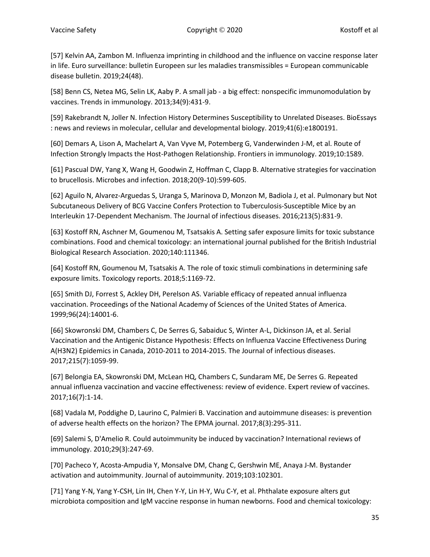[57] Kelvin AA, Zambon M. Influenza imprinting in childhood and the influence on vaccine response later in life. Euro surveillance: bulletin Europeen sur les maladies transmissibles = European communicable disease bulletin. 2019;24(48).

[58] Benn CS, Netea MG, Selin LK, Aaby P. A small jab - a big effect: nonspecific immunomodulation by vaccines. Trends in immunology. 2013;34(9):431-9.

[59] Rakebrandt N, Joller N. Infection History Determines Susceptibility to Unrelated Diseases. BioEssays : news and reviews in molecular, cellular and developmental biology. 2019;41(6):e1800191.

[60] Demars A, Lison A, Machelart A, Van Vyve M, Potemberg G, Vanderwinden J-M, et al. Route of Infection Strongly Impacts the Host-Pathogen Relationship. Frontiers in immunology. 2019;10:1589.

[61] Pascual DW, Yang X, Wang H, Goodwin Z, Hoffman C, Clapp B. Alternative strategies for vaccination to brucellosis. Microbes and infection. 2018;20(9-10):599-605.

[62] Aguilo N, Alvarez-Arguedas S, Uranga S, Marinova D, Monzon M, Badiola J, et al. Pulmonary but Not Subcutaneous Delivery of BCG Vaccine Confers Protection to Tuberculosis-Susceptible Mice by an Interleukin 17-Dependent Mechanism. The Journal of infectious diseases. 2016;213(5):831-9.

[63] Kostoff RN, Aschner M, Goumenou M, Tsatsakis A. Setting safer exposure limits for toxic substance combinations. Food and chemical toxicology: an international journal published for the British Industrial Biological Research Association. 2020;140:111346.

[64] Kostoff RN, Goumenou M, Tsatsakis A. The role of toxic stimuli combinations in determining safe exposure limits. Toxicology reports. 2018;5:1169-72.

[65] Smith DJ, Forrest S, Ackley DH, Perelson AS. Variable efficacy of repeated annual influenza vaccination. Proceedings of the National Academy of Sciences of the United States of America. 1999;96(24):14001-6.

[66] Skowronski DM, Chambers C, De Serres G, Sabaiduc S, Winter A-L, Dickinson JA, et al. Serial Vaccination and the Antigenic Distance Hypothesis: Effects on Influenza Vaccine Effectiveness During A(H3N2) Epidemics in Canada, 2010-2011 to 2014-2015. The Journal of infectious diseases. 2017;215(7):1059-99.

[67] Belongia EA, Skowronski DM, McLean HQ, Chambers C, Sundaram ME, De Serres G. Repeated annual influenza vaccination and vaccine effectiveness: review of evidence. Expert review of vaccines. 2017;16(7):1-14.

[68] Vadala M, Poddighe D, Laurino C, Palmieri B. Vaccination and autoimmune diseases: is prevention of adverse health effects on the horizon? The EPMA journal. 2017;8(3):295-311.

[69] Salemi S, D'Amelio R. Could autoimmunity be induced by vaccination? International reviews of immunology. 2010;29(3):247-69.

[70] Pacheco Y, Acosta-Ampudia Y, Monsalve DM, Chang C, Gershwin ME, Anaya J-M. Bystander activation and autoimmunity. Journal of autoimmunity. 2019;103:102301.

[71] Yang Y-N, Yang Y-CSH, Lin IH, Chen Y-Y, Lin H-Y, Wu C-Y, et al. Phthalate exposure alters gut microbiota composition and IgM vaccine response in human newborns. Food and chemical toxicology: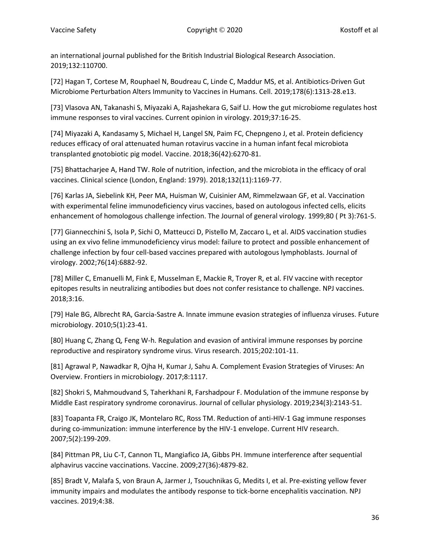an international journal published for the British Industrial Biological Research Association. 2019;132:110700.

[72] Hagan T, Cortese M, Rouphael N, Boudreau C, Linde C, Maddur MS, et al. Antibiotics-Driven Gut Microbiome Perturbation Alters Immunity to Vaccines in Humans. Cell. 2019;178(6):1313-28.e13.

[73] Vlasova AN, Takanashi S, Miyazaki A, Rajashekara G, Saif LJ. How the gut microbiome regulates host immune responses to viral vaccines. Current opinion in virology. 2019;37:16-25.

[74] Miyazaki A, Kandasamy S, Michael H, Langel SN, Paim FC, Chepngeno J, et al. Protein deficiency reduces efficacy of oral attenuated human rotavirus vaccine in a human infant fecal microbiota transplanted gnotobiotic pig model. Vaccine. 2018;36(42):6270-81.

[75] Bhattacharjee A, Hand TW. Role of nutrition, infection, and the microbiota in the efficacy of oral vaccines. Clinical science (London, England: 1979). 2018;132(11):1169-77.

[76] Karlas JA, Siebelink KH, Peer MA, Huisman W, Cuisinier AM, Rimmelzwaan GF, et al. Vaccination with experimental feline immunodeficiency virus vaccines, based on autologous infected cells, elicits enhancement of homologous challenge infection. The Journal of general virology. 1999;80 ( Pt 3):761-5.

[77] Giannecchini S, Isola P, Sichi O, Matteucci D, Pistello M, Zaccaro L, et al. AIDS vaccination studies using an ex vivo feline immunodeficiency virus model: failure to protect and possible enhancement of challenge infection by four cell-based vaccines prepared with autologous lymphoblasts. Journal of virology. 2002;76(14):6882-92.

[78] Miller C, Emanuelli M, Fink E, Musselman E, Mackie R, Troyer R, et al. FIV vaccine with receptor epitopes results in neutralizing antibodies but does not confer resistance to challenge. NPJ vaccines. 2018;3:16.

[79] Hale BG, Albrecht RA, Garcia-Sastre A. Innate immune evasion strategies of influenza viruses. Future microbiology. 2010;5(1):23-41.

[80] Huang C, Zhang Q, Feng W-h. Regulation and evasion of antiviral immune responses by porcine reproductive and respiratory syndrome virus. Virus research. 2015;202:101-11.

[81] Agrawal P, Nawadkar R, Ojha H, Kumar J, Sahu A. Complement Evasion Strategies of Viruses: An Overview. Frontiers in microbiology. 2017;8:1117.

[82] Shokri S, Mahmoudvand S, Taherkhani R, Farshadpour F. Modulation of the immune response by Middle East respiratory syndrome coronavirus. Journal of cellular physiology. 2019;234(3):2143-51.

[83] Toapanta FR, Craigo JK, Montelaro RC, Ross TM. Reduction of anti-HIV-1 Gag immune responses during co-immunization: immune interference by the HIV-1 envelope. Current HIV research. 2007;5(2):199-209.

[84] Pittman PR, Liu C-T, Cannon TL, Mangiafico JA, Gibbs PH. Immune interference after sequential alphavirus vaccine vaccinations. Vaccine. 2009;27(36):4879-82.

[85] Bradt V, Malafa S, von Braun A, Jarmer J, Tsouchnikas G, Medits I, et al. Pre-existing yellow fever immunity impairs and modulates the antibody response to tick-borne encephalitis vaccination. NPJ vaccines. 2019;4:38.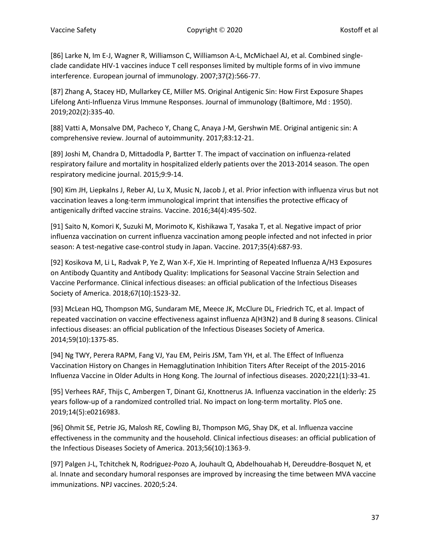[86] Larke N, Im E-J, Wagner R, Williamson C, Williamson A-L, McMichael AJ, et al. Combined singleclade candidate HIV-1 vaccines induce T cell responses limited by multiple forms of in vivo immune interference. European journal of immunology. 2007;37(2):566-77.

[87] Zhang A, Stacey HD, Mullarkey CE, Miller MS. Original Antigenic Sin: How First Exposure Shapes Lifelong Anti-Influenza Virus Immune Responses. Journal of immunology (Baltimore, Md : 1950). 2019;202(2):335-40.

[88] Vatti A, Monsalve DM, Pacheco Y, Chang C, Anaya J-M, Gershwin ME. Original antigenic sin: A comprehensive review. Journal of autoimmunity. 2017;83:12-21.

[89] Joshi M, Chandra D, Mittadodla P, Bartter T. The impact of vaccination on influenza-related respiratory failure and mortality in hospitalized elderly patients over the 2013-2014 season. The open respiratory medicine journal. 2015;9:9-14.

[90] Kim JH, Liepkalns J, Reber AJ, Lu X, Music N, Jacob J, et al. Prior infection with influenza virus but not vaccination leaves a long-term immunological imprint that intensifies the protective efficacy of antigenically drifted vaccine strains. Vaccine. 2016;34(4):495-502.

[91] Saito N, Komori K, Suzuki M, Morimoto K, Kishikawa T, Yasaka T, et al. Negative impact of prior influenza vaccination on current influenza vaccination among people infected and not infected in prior season: A test-negative case-control study in Japan. Vaccine. 2017;35(4):687-93.

[92] Kosikova M, Li L, Radvak P, Ye Z, Wan X-F, Xie H. Imprinting of Repeated Influenza A/H3 Exposures on Antibody Quantity and Antibody Quality: Implications for Seasonal Vaccine Strain Selection and Vaccine Performance. Clinical infectious diseases: an official publication of the Infectious Diseases Society of America. 2018;67(10):1523-32.

[93] McLean HQ, Thompson MG, Sundaram ME, Meece JK, McClure DL, Friedrich TC, et al. Impact of repeated vaccination on vaccine effectiveness against influenza A(H3N2) and B during 8 seasons. Clinical infectious diseases: an official publication of the Infectious Diseases Society of America. 2014;59(10):1375-85.

[94] Ng TWY, Perera RAPM, Fang VJ, Yau EM, Peiris JSM, Tam YH, et al. The Effect of Influenza Vaccination History on Changes in Hemagglutination Inhibition Titers After Receipt of the 2015-2016 Influenza Vaccine in Older Adults in Hong Kong. The Journal of infectious diseases. 2020;221(1):33-41.

[95] Verhees RAF, Thijs C, Ambergen T, Dinant GJ, Knottnerus JA. Influenza vaccination in the elderly: 25 years follow-up of a randomized controlled trial. No impact on long-term mortality. PloS one. 2019;14(5):e0216983.

[96] Ohmit SE, Petrie JG, Malosh RE, Cowling BJ, Thompson MG, Shay DK, et al. Influenza vaccine effectiveness in the community and the household. Clinical infectious diseases: an official publication of the Infectious Diseases Society of America. 2013;56(10):1363-9.

[97] Palgen J-L, Tchitchek N, Rodriguez-Pozo A, Jouhault Q, Abdelhouahab H, Dereuddre-Bosquet N, et al. Innate and secondary humoral responses are improved by increasing the time between MVA vaccine immunizations. NPJ vaccines. 2020;5:24.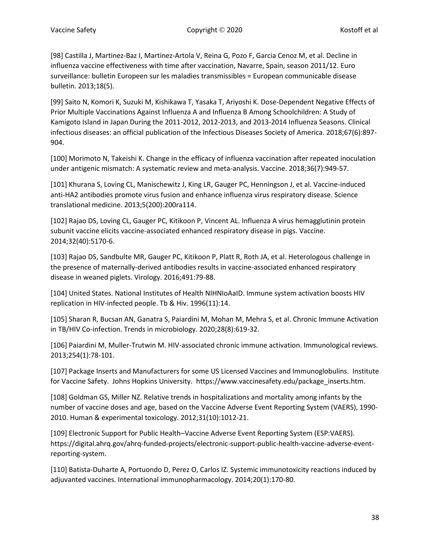[98] Castilla J, Martinez-Baz I, Martinez-Artola V, Reina G, Pozo F, Garcia Cenoz M, et al. Decline in influenza vaccine effectiveness with time after vaccination, Navarre, Spain, season 2011/12. Euro surveillance: bulletin Europeen sur les maladies transmissibles = European communicable disease bulletin. 2013;18(5).

[99] Saito N, Komori K, Suzuki M, Kishikawa T, Yasaka T, Ariyoshi K. Dose-Dependent Negative Effects of Prior Multiple Vaccinations Against Influenza A and Influenza B Among Schoolchildren: A Study of Kamigoto Island in Japan During the 2011-2012, 2012-2013, and 2013-2014 Influenza Seasons. Clinical infectious diseases: an official publication of the Infectious Diseases Society of America. 2018;67(6):897- 904.

[100] Morimoto N, Takeishi K. Change in the efficacy of influenza vaccination after repeated inoculation under antigenic mismatch: A systematic review and meta-analysis. Vaccine. 2018;36(7):949-57.

[101] Khurana S, Loving CL, Manischewitz J, King LR, Gauger PC, Henningson J, et al. Vaccine-induced anti-HA2 antibodies promote virus fusion and enhance influenza virus respiratory disease. Science translational medicine. 2013;5(200):200ra114.

[102] Rajao DS, Loving CL, Gauger PC, Kitikoon P, Vincent AL. Influenza A virus hemagglutinin protein subunit vaccine elicits vaccine-associated enhanced respiratory disease in pigs. Vaccine. 2014;32(40):5170-6.

[103] Rajao DS, Sandbulte MR, Gauger PC, Kitikoon P, Platt R, Roth JA, et al. Heterologous challenge in the presence of maternally-derived antibodies results in vaccine-associated enhanced respiratory disease in weaned piglets. Virology. 2016;491:79-88.

[104] United States. National Institutes of Health NIHNIoAaID. Immune system activation boosts HIV replication in HIV-infected people. Tb & Hiv. 1996(11):14.

[105] Sharan R, Bucsan AN, Ganatra S, Paiardini M, Mohan M, Mehra S, et al. Chronic Immune Activation in TB/HIV Co-infection. Trends in microbiology. 2020;28(8):619-32.

[106] Paiardini M, Muller-Trutwin M. HIV-associated chronic immune activation. Immunological reviews. 2013;254(1):78-101.

[107] Package Inserts and Manufacturers for some US Licensed Vaccines and Immunoglobulins. Institute for Vaccine Safety. Johns Hopkins University. https://www.vaccinesafety.edu/package\_inserts.htm.

[108] Goldman GS, Miller NZ. Relative trends in hospitalizations and mortality among infants by the number of vaccine doses and age, based on the Vaccine Adverse Event Reporting System (VAERS), 1990- 2010. Human & experimental toxicology. 2012;31(10):1012-21.

[109] Electronic Support for Public Health–Vaccine Adverse Event Reporting System (ESP:VAERS). https://digital.ahrq.gov/ahrq-funded-projects/electronic-support-public-health-vaccine-adverse-eventreporting-system.

[110] Batista-Duharte A, Portuondo D, Perez O, Carlos IZ. Systemic immunotoxicity reactions induced by adjuvanted vaccines. International immunopharmacology. 2014;20(1):170-80.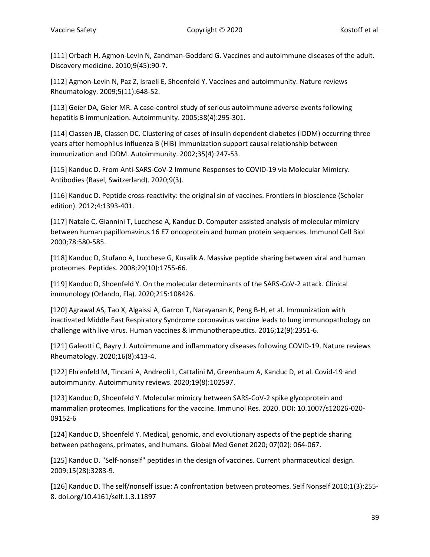[111] Orbach H, Agmon-Levin N, Zandman-Goddard G. Vaccines and autoimmune diseases of the adult. Discovery medicine. 2010;9(45):90-7.

[112] Agmon-Levin N, Paz Z, Israeli E, Shoenfeld Y. Vaccines and autoimmunity. Nature reviews Rheumatology. 2009;5(11):648-52.

[113] Geier DA, Geier MR. A case-control study of serious autoimmune adverse events following hepatitis B immunization. Autoimmunity. 2005;38(4):295-301.

[114] Classen JB, Classen DC. Clustering of cases of insulin dependent diabetes (IDDM) occurring three years after hemophilus influenza B (HiB) immunization support causal relationship between immunization and IDDM. Autoimmunity. 2002;35(4):247-53.

[115] Kanduc D. From Anti-SARS-CoV-2 Immune Responses to COVID-19 via Molecular Mimicry. Antibodies (Basel, Switzerland). 2020;9(3).

[116] Kanduc D. Peptide cross-reactivity: the original sin of vaccines. Frontiers in bioscience (Scholar edition). 2012;4:1393-401.

[117] Natale C, Giannini T, Lucchese A, Kanduc D. Computer assisted analysis of molecular mimicry between human papillomavirus 16 E7 oncoprotein and human protein sequences. Immunol Cell Biol 2000;78:580-585.

[118] Kanduc D, Stufano A, Lucchese G, Kusalik A. Massive peptide sharing between viral and human proteomes. Peptides. 2008;29(10):1755-66.

[119] Kanduc D, Shoenfeld Y. On the molecular determinants of the SARS-CoV-2 attack. Clinical immunology (Orlando, Fla). 2020;215:108426.

[120] Agrawal AS, Tao X, Algaissi A, Garron T, Narayanan K, Peng B-H, et al. Immunization with inactivated Middle East Respiratory Syndrome coronavirus vaccine leads to lung immunopathology on challenge with live virus. Human vaccines & immunotherapeutics. 2016;12(9):2351-6.

[121] Galeotti C, Bayry J. Autoimmune and inflammatory diseases following COVID-19. Nature reviews Rheumatology. 2020;16(8):413-4.

[122] Ehrenfeld M, Tincani A, Andreoli L, Cattalini M, Greenbaum A, Kanduc D, et al. Covid-19 and autoimmunity. Autoimmunity reviews. 2020;19(8):102597.

[123] Kanduc D, Shoenfeld Y. Molecular mimicry between SARS-CoV-2 spike glycoprotein and mammalian proteomes. Implications for the vaccine. Immunol Res. 2020. DOI: 10.1007/s12026-020- 09152-6

[124] Kanduc D, Shoenfeld Y. Medical, genomic, and evolutionary aspects of the peptide sharing between pathogens, primates, and humans. Global Med Genet 2020; 07(02): 064-067.

[125] Kanduc D. "Self-nonself" peptides in the design of vaccines. Current pharmaceutical design. 2009;15(28):3283-9.

[126] Kanduc D. The self/nonself issue: A confrontation between proteomes. Self Nonself 2010;1(3):255- 8. doi.org/10.4161/self.1.3.11897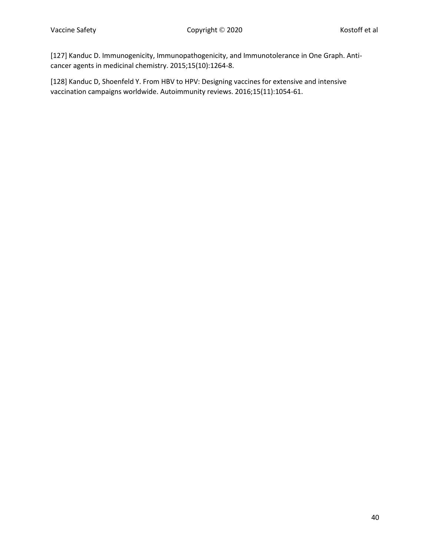[127] Kanduc D. Immunogenicity, Immunopathogenicity, and Immunotolerance in One Graph. Anticancer agents in medicinal chemistry. 2015;15(10):1264-8.

[128] Kanduc D, Shoenfeld Y. From HBV to HPV: Designing vaccines for extensive and intensive vaccination campaigns worldwide. Autoimmunity reviews. 2016;15(11):1054-61.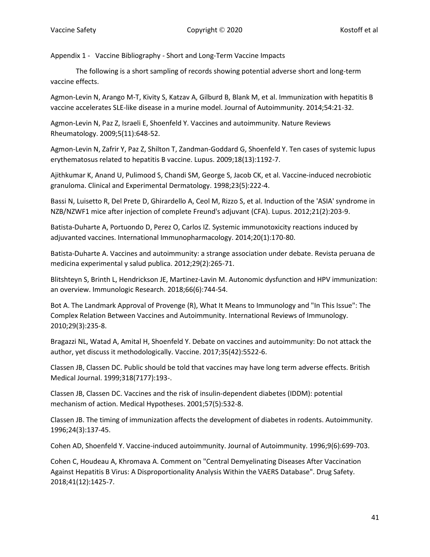<span id="page-40-0"></span>Appendix 1 - Vaccine Bibliography - Short and Long-Term Vaccine Impacts

The following is a short sampling of records showing potential adverse short and long-term vaccine effects.

Agmon-Levin N, Arango M-T, Kivity S, Katzav A, Gilburd B, Blank M, et al. Immunization with hepatitis B vaccine accelerates SLE-like disease in a murine model. Journal of Autoimmunity. 2014;54:21-32.

Agmon-Levin N, Paz Z, Israeli E, Shoenfeld Y. Vaccines and autoimmunity. Nature Reviews Rheumatology. 2009;5(11):648-52.

Agmon-Levin N, Zafrir Y, Paz Z, Shilton T, Zandman-Goddard G, Shoenfeld Y. Ten cases of systemic lupus erythematosus related to hepatitis B vaccine. Lupus. 2009;18(13):1192-7.

Ajithkumar K, Anand U, Pulimood S, Chandi SM, George S, Jacob CK, et al. Vaccine-induced necrobiotic granuloma. Clinical and Experimental Dermatology. 1998;23(5):222-4.

Bassi N, Luisetto R, Del Prete D, Ghirardello A, Ceol M, Rizzo S, et al. Induction of the 'ASIA' syndrome in NZB/NZWF1 mice after injection of complete Freund's adjuvant (CFA). Lupus. 2012;21(2):203-9.

Batista-Duharte A, Portuondo D, Perez O, Carlos IZ. Systemic immunotoxicity reactions induced by adjuvanted vaccines. International Immunopharmacology. 2014;20(1):170-80.

Batista-Duharte A. Vaccines and autoimmunity: a strange association under debate. Revista peruana de medicina experimental y salud publica. 2012;29(2):265-71.

Blitshteyn S, Brinth L, Hendrickson JE, Martinez-Lavin M. Autonomic dysfunction and HPV immunization: an overview. Immunologic Research. 2018;66(6):744-54.

Bot A. The Landmark Approval of Provenge (R), What It Means to Immunology and "In This Issue": The Complex Relation Between Vaccines and Autoimmunity. International Reviews of Immunology. 2010;29(3):235-8.

Bragazzi NL, Watad A, Amital H, Shoenfeld Y. Debate on vaccines and autoimmunity: Do not attack the author, yet discuss it methodologically. Vaccine. 2017;35(42):5522-6.

Classen JB, Classen DC. Public should be told that vaccines may have long term adverse effects. British Medical Journal. 1999;318(7177):193-.

Classen JB, Classen DC. Vaccines and the risk of insulin-dependent diabetes (IDDM): potential mechanism of action. Medical Hypotheses. 2001;57(5):532-8.

Classen JB. The timing of immunization affects the development of diabetes in rodents. Autoimmunity. 1996;24(3):137-45.

Cohen AD, Shoenfeld Y. Vaccine-induced autoimmunity. Journal of Autoimmunity. 1996;9(6):699-703.

Cohen C, Houdeau A, Khromava A. Comment on "Central Demyelinating Diseases After Vaccination Against Hepatitis B Virus: A Disproportionality Analysis Within the VAERS Database". Drug Safety. 2018;41(12):1425-7.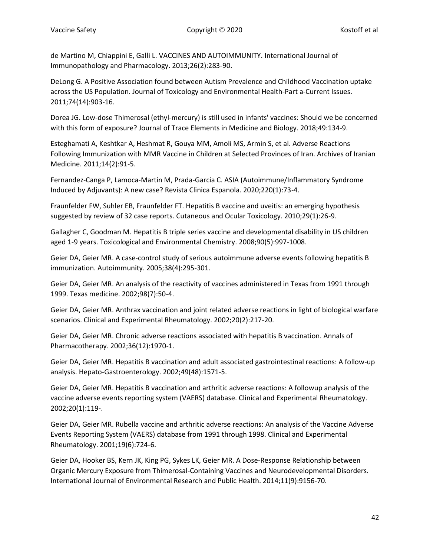de Martino M, Chiappini E, Galli L. VACCINES AND AUTOIMMUNITY. International Journal of Immunopathology and Pharmacology. 2013;26(2):283-90.

DeLong G. A Positive Association found between Autism Prevalence and Childhood Vaccination uptake across the US Population. Journal of Toxicology and Environmental Health-Part a-Current Issues. 2011;74(14):903-16.

Dorea JG. Low-dose Thimerosal (ethyl-mercury) is still used in infants' vaccines: Should we be concerned with this form of exposure? Journal of Trace Elements in Medicine and Biology. 2018;49:134-9.

Esteghamati A, Keshtkar A, Heshmat R, Gouya MM, Amoli MS, Armin S, et al. Adverse Reactions Following Immunization with MMR Vaccine in Children at Selected Provinces of Iran. Archives of Iranian Medicine. 2011;14(2):91-5.

Fernandez-Canga P, Lamoca-Martin M, Prada-Garcia C. ASIA (Autoimmune/Inflammatory Syndrome Induced by Adjuvants): A new case? Revista Clinica Espanola. 2020;220(1):73-4.

Fraunfelder FW, Suhler EB, Fraunfelder FT. Hepatitis B vaccine and uveitis: an emerging hypothesis suggested by review of 32 case reports. Cutaneous and Ocular Toxicology. 2010;29(1):26-9.

Gallagher C, Goodman M. Hepatitis B triple series vaccine and developmental disability in US children aged 1-9 years. Toxicological and Environmental Chemistry. 2008;90(5):997-1008.

Geier DA, Geier MR. A case-control study of serious autoimmune adverse events following hepatitis B immunization. Autoimmunity. 2005;38(4):295-301.

Geier DA, Geier MR. An analysis of the reactivity of vaccines administered in Texas from 1991 through 1999. Texas medicine. 2002;98(7):50-4.

Geier DA, Geier MR. Anthrax vaccination and joint related adverse reactions in light of biological warfare scenarios. Clinical and Experimental Rheumatology. 2002;20(2):217-20.

Geier DA, Geier MR. Chronic adverse reactions associated with hepatitis B vaccination. Annals of Pharmacotherapy. 2002;36(12):1970-1.

Geier DA, Geier MR. Hepatitis B vaccination and adult associated gastrointestinal reactions: A follow-up analysis. Hepato-Gastroenterology. 2002;49(48):1571-5.

Geier DA, Geier MR. Hepatitis B vaccination and arthritic adverse reactions: A followup analysis of the vaccine adverse events reporting system (VAERS) database. Clinical and Experimental Rheumatology. 2002;20(1):119-.

Geier DA, Geier MR. Rubella vaccine and arthritic adverse reactions: An analysis of the Vaccine Adverse Events Reporting System (VAERS) database from 1991 through 1998. Clinical and Experimental Rheumatology. 2001;19(6):724-6.

Geier DA, Hooker BS, Kern JK, King PG, Sykes LK, Geier MR. A Dose-Response Relationship between Organic Mercury Exposure from Thimerosal-Containing Vaccines and Neurodevelopmental Disorders. International Journal of Environmental Research and Public Health. 2014;11(9):9156-70.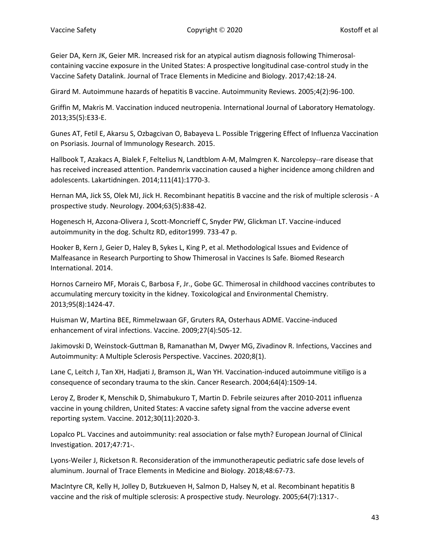Geier DA, Kern JK, Geier MR. Increased risk for an atypical autism diagnosis following Thimerosalcontaining vaccine exposure in the United States: A prospective longitudinal case-control study in the Vaccine Safety Datalink. Journal of Trace Elements in Medicine and Biology. 2017;42:18-24.

Girard M. Autoimmune hazards of hepatitis B vaccine. Autoimmunity Reviews. 2005;4(2):96-100.

Griffin M, Makris M. Vaccination induced neutropenia. International Journal of Laboratory Hematology. 2013;35(5):E33-E.

Gunes AT, Fetil E, Akarsu S, Ozbagcivan O, Babayeva L. Possible Triggering Effect of Influenza Vaccination on Psoriasis. Journal of Immunology Research. 2015.

Hallbook T, Azakacs A, Bialek F, Feltelius N, Landtblom A-M, Malmgren K. Narcolepsy--rare disease that has received increased attention. Pandemrix vaccination caused a higher incidence among children and adolescents. Lakartidningen. 2014;111(41):1770-3.

Hernan MA, Jick SS, Olek MJ, Jick H. Recombinant hepatitis B vaccine and the risk of multiple sclerosis - A prospective study. Neurology. 2004;63(5):838-42.

Hogenesch H, Azcona-Olivera J, Scott-Moncrieff C, Snyder PW, Glickman LT. Vaccine-induced autoimmunity in the dog. Schultz RD, editor1999. 733-47 p.

Hooker B, Kern J, Geier D, Haley B, Sykes L, King P, et al. Methodological Issues and Evidence of Malfeasance in Research Purporting to Show Thimerosal in Vaccines Is Safe. Biomed Research International. 2014.

Hornos Carneiro MF, Morais C, Barbosa F, Jr., Gobe GC. Thimerosal in childhood vaccines contributes to accumulating mercury toxicity in the kidney. Toxicological and Environmental Chemistry. 2013;95(8):1424-47.

Huisman W, Martina BEE, Rimmelzwaan GF, Gruters RA, Osterhaus ADME. Vaccine-induced enhancement of viral infections. Vaccine. 2009;27(4):505-12.

Jakimovski D, Weinstock-Guttman B, Ramanathan M, Dwyer MG, Zivadinov R. Infections, Vaccines and Autoimmunity: A Multiple Sclerosis Perspective. Vaccines. 2020;8(1).

Lane C, Leitch J, Tan XH, Hadjati J, Bramson JL, Wan YH. Vaccination-induced autoimmune vitiligo is a consequence of secondary trauma to the skin. Cancer Research. 2004;64(4):1509-14.

Leroy Z, Broder K, Menschik D, Shimabukuro T, Martin D. Febrile seizures after 2010-2011 influenza vaccine in young children, United States: A vaccine safety signal from the vaccine adverse event reporting system. Vaccine. 2012;30(11):2020-3.

Lopalco PL. Vaccines and autoimmunity: real association or false myth? European Journal of Clinical Investigation. 2017;47:71-.

Lyons-Weiler J, Ricketson R. Reconsideration of the immunotherapeutic pediatric safe dose levels of aluminum. Journal of Trace Elements in Medicine and Biology. 2018;48:67-73.

MacIntyre CR, Kelly H, Jolley D, Butzkueven H, Salmon D, Halsey N, et al. Recombinant hepatitis B vaccine and the risk of multiple sclerosis: A prospective study. Neurology. 2005;64(7):1317-.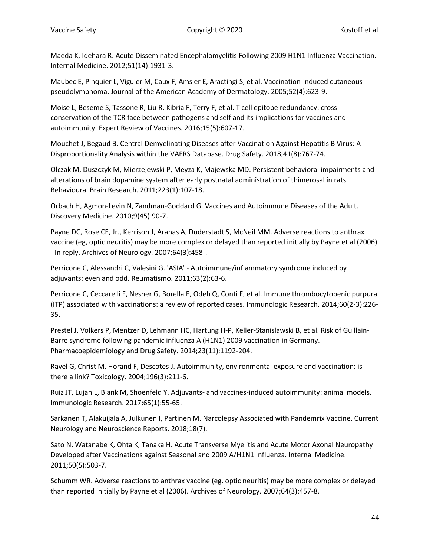Maeda K, Idehara R. Acute Disseminated Encephalomyelitis Following 2009 H1N1 Influenza Vaccination. Internal Medicine. 2012;51(14):1931-3.

Maubec E, Pinquier L, Viguier M, Caux F, Amsler E, Aractingi S, et al. Vaccination-induced cutaneous pseudolymphoma. Journal of the American Academy of Dermatology. 2005;52(4):623-9.

Moise L, Beseme S, Tassone R, Liu R, Kibria F, Terry F, et al. T cell epitope redundancy: crossconservation of the TCR face between pathogens and self and its implications for vaccines and autoimmunity. Expert Review of Vaccines. 2016;15(5):607-17.

Mouchet J, Begaud B. Central Demyelinating Diseases after Vaccination Against Hepatitis B Virus: A Disproportionality Analysis within the VAERS Database. Drug Safety. 2018;41(8):767-74.

Olczak M, Duszczyk M, Mierzejewski P, Meyza K, Majewska MD. Persistent behavioral impairments and alterations of brain dopamine system after early postnatal administration of thimerosal in rats. Behavioural Brain Research. 2011;223(1):107-18.

Orbach H, Agmon-Levin N, Zandman-Goddard G. Vaccines and Autoimmune Diseases of the Adult. Discovery Medicine. 2010;9(45):90-7.

Payne DC, Rose CE, Jr., Kerrison J, Aranas A, Duderstadt S, McNeil MM. Adverse reactions to anthrax vaccine (eg, optic neuritis) may be more complex or delayed than reported initially by Payne et al (2006) - In reply. Archives of Neurology. 2007;64(3):458-.

Perricone C, Alessandri C, Valesini G. 'ASIA' - Autoimmune/inflammatory syndrome induced by adjuvants: even and odd. Reumatismo. 2011;63(2):63-6.

Perricone C, Ceccarelli F, Nesher G, Borella E, Odeh Q, Conti F, et al. Immune thrombocytopenic purpura (ITP) associated with vaccinations: a review of reported cases. Immunologic Research. 2014;60(2-3):226- 35.

Prestel J, Volkers P, Mentzer D, Lehmann HC, Hartung H-P, Keller-Stanislawski B, et al. Risk of Guillain-Barre syndrome following pandemic influenza A (H1N1) 2009 vaccination in Germany. Pharmacoepidemiology and Drug Safety. 2014;23(11):1192-204.

Ravel G, Christ M, Horand F, Descotes J. Autoimmunity, environmental exposure and vaccination: is there a link? Toxicology. 2004;196(3):211-6.

Ruiz JT, Lujan L, Blank M, Shoenfeld Y. Adjuvants- and vaccines-induced autoimmunity: animal models. Immunologic Research. 2017;65(1):55-65.

Sarkanen T, Alakuijala A, Julkunen I, Partinen M. Narcolepsy Associated with Pandemrix Vaccine. Current Neurology and Neuroscience Reports. 2018;18(7).

Sato N, Watanabe K, Ohta K, Tanaka H. Acute Transverse Myelitis and Acute Motor Axonal Neuropathy Developed after Vaccinations against Seasonal and 2009 A/H1N1 Influenza. Internal Medicine. 2011;50(5):503-7.

Schumm WR. Adverse reactions to anthrax vaccine (eg, optic neuritis) may be more complex or delayed than reported initially by Payne et al (2006). Archives of Neurology. 2007;64(3):457-8.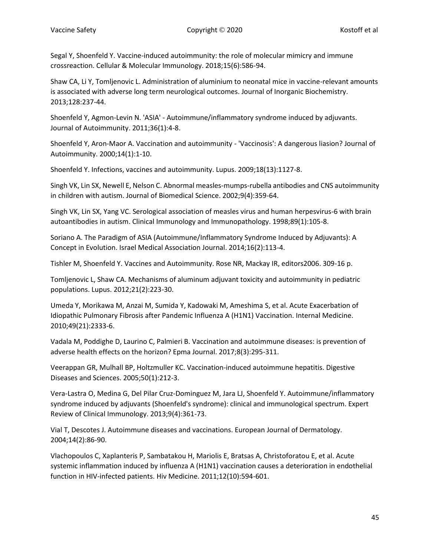Segal Y, Shoenfeld Y. Vaccine-induced autoimmunity: the role of molecular mimicry and immune crossreaction. Cellular & Molecular Immunology. 2018;15(6):586-94.

Shaw CA, Li Y, Tomljenovic L. Administration of aluminium to neonatal mice in vaccine-relevant amounts is associated with adverse long term neurological outcomes. Journal of Inorganic Biochemistry. 2013;128:237-44.

Shoenfeld Y, Agmon-Levin N. 'ASIA' - Autoimmune/inflammatory syndrome induced by adjuvants. Journal of Autoimmunity. 2011;36(1):4-8.

Shoenfeld Y, Aron-Maor A. Vaccination and autoimmunity - 'Vaccinosis': A dangerous liasion? Journal of Autoimmunity. 2000;14(1):1-10.

Shoenfeld Y. Infections, vaccines and autoimmunity. Lupus. 2009;18(13):1127-8.

Singh VK, Lin SX, Newell E, Nelson C. Abnormal measles-mumps-rubella antibodies and CNS autoimmunity in children with autism. Journal of Biomedical Science. 2002;9(4):359-64.

Singh VK, Lin SX, Yang VC. Serological association of measles virus and human herpesvirus-6 with brain autoantibodies in autism. Clinical Immunology and Immunopathology. 1998;89(1):105-8.

Soriano A. The Paradigm of ASIA (Autoimmune/Inflammatory Syndrome Induced by Adjuvants): A Concept in Evolution. Israel Medical Association Journal. 2014;16(2):113-4.

Tishler M, Shoenfeld Y. Vaccines and Autoimmunity. Rose NR, Mackay IR, editors2006. 309-16 p.

Tomljenovic L, Shaw CA. Mechanisms of aluminum adjuvant toxicity and autoimmunity in pediatric populations. Lupus. 2012;21(2):223-30.

Umeda Y, Morikawa M, Anzai M, Sumida Y, Kadowaki M, Ameshima S, et al. Acute Exacerbation of Idiopathic Pulmonary Fibrosis after Pandemic Influenza A (H1N1) Vaccination. Internal Medicine. 2010;49(21):2333-6.

Vadala M, Poddighe D, Laurino C, Palmieri B. Vaccination and autoimmune diseases: is prevention of adverse health effects on the horizon? Epma Journal. 2017;8(3):295-311.

Veerappan GR, Mulhall BP, Holtzmuller KC. Vaccination-induced autoimmune hepatitis. Digestive Diseases and Sciences. 2005;50(1):212-3.

Vera-Lastra O, Medina G, Del Pilar Cruz-Dominguez M, Jara LJ, Shoenfeld Y. Autoimmune/inflammatory syndrome induced by adjuvants (Shoenfeld's syndrome): clinical and immunological spectrum. Expert Review of Clinical Immunology. 2013;9(4):361-73.

Vial T, Descotes J. Autoimmune diseases and vaccinations. European Journal of Dermatology. 2004;14(2):86-90.

Vlachopoulos C, Xaplanteris P, Sambatakou H, Mariolis E, Bratsas A, Christoforatou E, et al. Acute systemic inflammation induced by influenza A (H1N1) vaccination causes a deterioration in endothelial function in HIV-infected patients. Hiv Medicine. 2011;12(10):594-601.